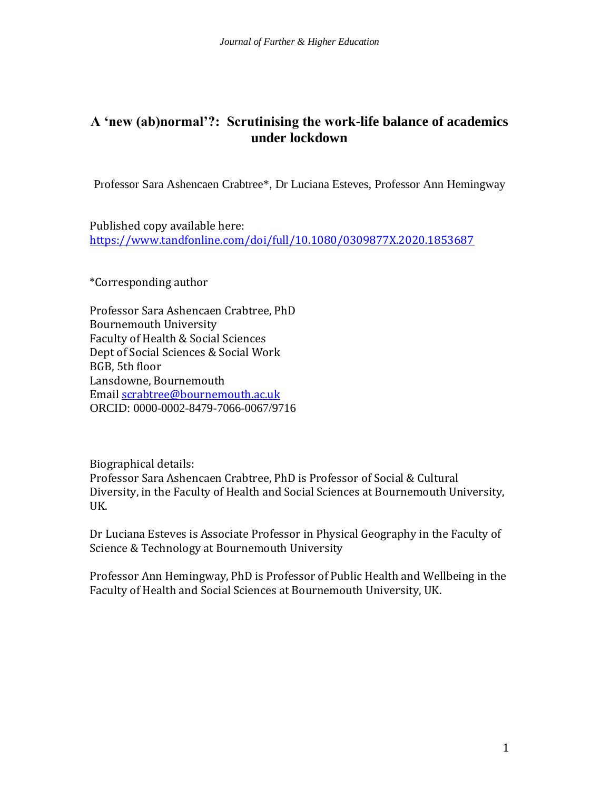# **A 'new (ab)normal'?: Scrutinising the work-life balance of academics under lockdown**

Professor Sara Ashencaen Crabtree\*, Dr Luciana Esteves, Professor Ann Hemingway

Published copy available here: <https://www.tandfonline.com/doi/full/10.1080/0309877X.2020.1853687>

\*Corresponding author

Professor Sara Ashencaen Crabtree, PhD Bournemouth University Faculty of Health & Social Sciences Dept of Social Sciences & Social Work BGB, 5th floor Lansdowne, Bournemouth Email [scrabtree@bournemouth.ac.uk](mailto:scrabtree@bournemouth.ac.uk) ORCID: [0000-0002-8479-7066-](http://orcid.org/0000-0002-8479-7066)0067/9716

Biographical details: Professor Sara Ashencaen Crabtree, PhD is Professor of Social & Cultural Diversity, in the Faculty of Health and Social Sciences at Bournemouth University, UK.

Dr Luciana Esteves is Associate Professor in Physical Geography in the Faculty of Science & Technology at Bournemouth University

Professor Ann Hemingway, PhD is Professor of Public Health and Wellbeing in the Faculty of Health and Social Sciences at Bournemouth University, UK.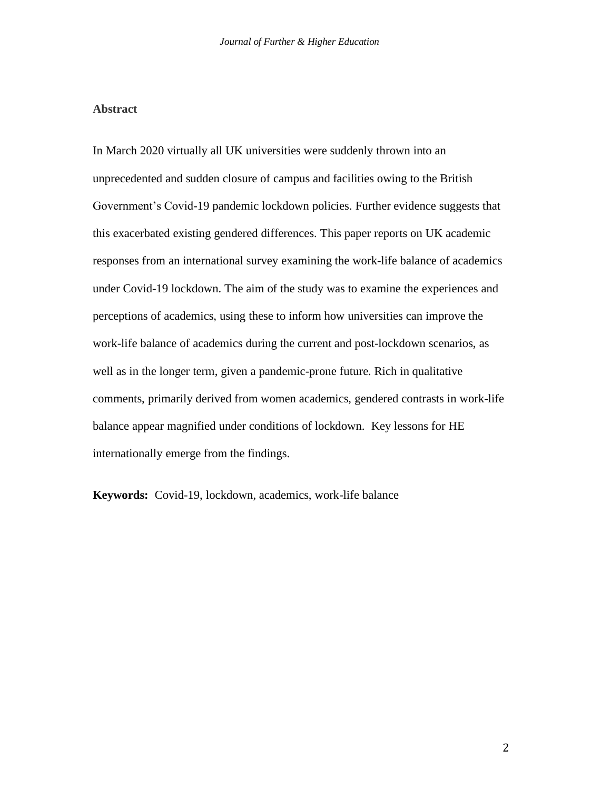## **Abstract**

In March 2020 virtually all UK universities were suddenly thrown into an unprecedented and sudden closure of campus and facilities owing to the British Government's Covid-19 pandemic lockdown policies. Further evidence suggests that this exacerbated existing gendered differences. This paper reports on UK academic responses from an international survey examining the work-life balance of academics under Covid-19 lockdown. The aim of the study was to examine the experiences and perceptions of academics, using these to inform how universities can improve the work-life balance of academics during the current and post-lockdown scenarios, as well as in the longer term, given a pandemic-prone future. Rich in qualitative comments, primarily derived from women academics, gendered contrasts in work-life balance appear magnified under conditions of lockdown. Key lessons for HE internationally emerge from the findings.

**Keywords:** Covid-19, lockdown, academics, work-life balance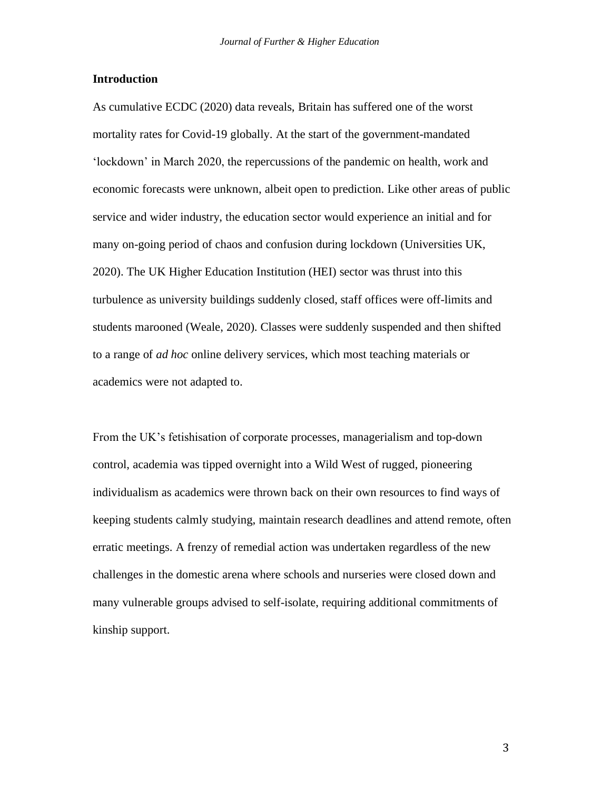#### **Introduction**

As cumulative ECDC (2020) data reveals, Britain has suffered one of the worst mortality rates for Covid-19 globally. At the start of the government-mandated 'lockdown' in March 2020, the repercussions of the pandemic on health, work and economic forecasts were unknown, albeit open to prediction. Like other areas of public service and wider industry, the education sector would experience an initial and for many on-going period of chaos and confusion during lockdown (Universities UK, 2020). The UK Higher Education Institution (HEI) sector was thrust into this turbulence as university buildings suddenly closed, staff offices were off-limits and students marooned (Weale, 2020). Classes were suddenly suspended and then shifted to a range of *ad hoc* online delivery services, which most teaching materials or academics were not adapted to.

From the UK's fetishisation of corporate processes, managerialism and top-down control, academia was tipped overnight into a Wild West of rugged, pioneering individualism as academics were thrown back on their own resources to find ways of keeping students calmly studying, maintain research deadlines and attend remote, often erratic meetings. A frenzy of remedial action was undertaken regardless of the new challenges in the domestic arena where schools and nurseries were closed down and many vulnerable groups advised to self-isolate, requiring additional commitments of kinship support.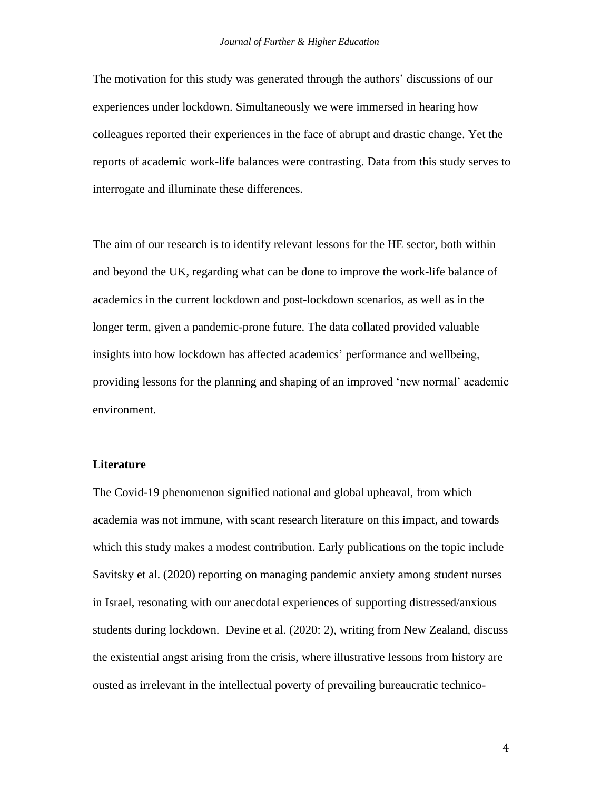The motivation for this study was generated through the authors' discussions of our experiences under lockdown. Simultaneously we were immersed in hearing how colleagues reported their experiences in the face of abrupt and drastic change. Yet the reports of academic work-life balances were contrasting. Data from this study serves to interrogate and illuminate these differences.

The aim of our research is to identify relevant lessons for the HE sector, both within and beyond the UK, regarding what can be done to improve the work-life balance of academics in the current lockdown and post-lockdown scenarios, as well as in the longer term, given a pandemic-prone future. The data collated provided valuable insights into how lockdown has affected academics' performance and wellbeing, providing lessons for the planning and shaping of an improved 'new normal' academic environment.

## **Literature**

The Covid-19 phenomenon signified national and global upheaval, from which academia was not immune, with scant research literature on this impact, and towards which this study makes a modest contribution. Early publications on the topic include Savitsky et al. (2020) reporting on managing pandemic anxiety among student nurses in Israel, resonating with our anecdotal experiences of supporting distressed/anxious students during lockdown. Devine et al. (2020: 2), writing from New Zealand, discuss the existential angst arising from the crisis, where illustrative lessons from history are ousted as irrelevant in the intellectual poverty of prevailing bureaucratic technico-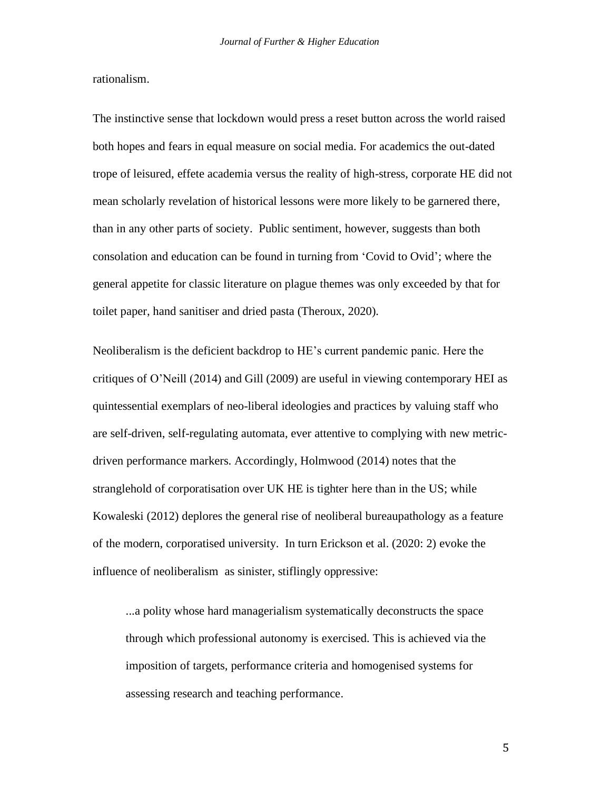rationalism.

The instinctive sense that lockdown would press a reset button across the world raised both hopes and fears in equal measure on social media. For academics the out-dated trope of leisured, effete academia versus the reality of high-stress, corporate HE did not mean scholarly revelation of historical lessons were more likely to be garnered there, than in any other parts of society. Public sentiment, however, suggests than both consolation and education can be found in turning from 'Covid to Ovid'; where the general appetite for classic literature on plague themes was only exceeded by that for toilet paper, hand sanitiser and dried pasta (Theroux, 2020).

Neoliberalism is the deficient backdrop to HE's current pandemic panic. Here the critiques of O'Neill (2014) and Gill (2009) are useful in viewing contemporary HEI as quintessential exemplars of neo-liberal ideologies and practices by valuing staff who are self-driven, self-regulating automata, ever attentive to complying with new metricdriven performance markers. Accordingly, Holmwood (2014) notes that the stranglehold of corporatisation over UK HE is tighter here than in the US; while Kowaleski (2012) deplores the general rise of neoliberal bureaupathology as a feature of the modern, corporatised university. In turn Erickson et al. (2020: 2) evoke the influence of neoliberalism as sinister, stiflingly oppressive:

...a polity whose hard managerialism systematically deconstructs the space through which professional autonomy is exercised. This is achieved via the imposition of targets, performance criteria and homogenised systems for assessing research and teaching performance.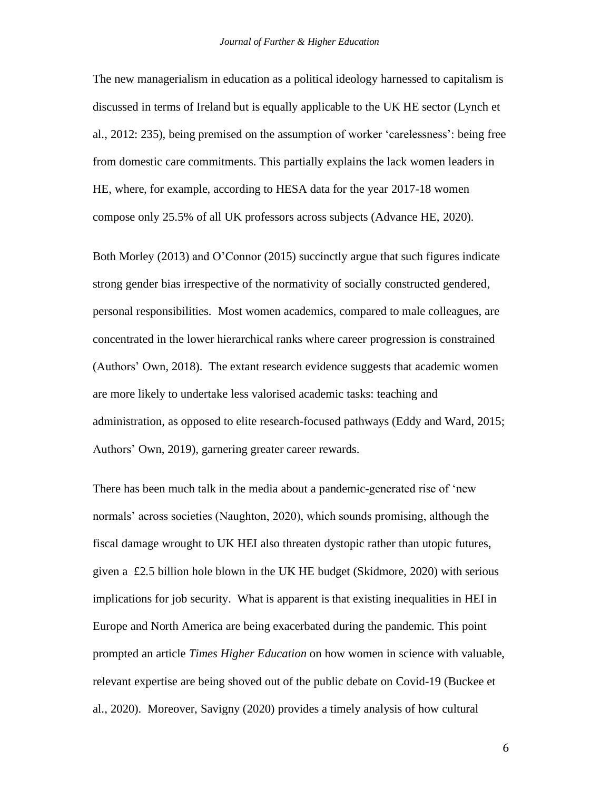The new managerialism in education as a political ideology harnessed to capitalism is discussed in terms of Ireland but is equally applicable to the UK HE sector (Lynch et al., 2012: 235), being premised on the assumption of worker 'carelessness': being free from domestic care commitments. This partially explains the lack women leaders in HE, where, for example, according to HESA data for the year 2017-18 women compose only 25.5% of all UK professors across subjects (Advance HE, 2020).

Both Morley (2013) and O'Connor (2015) succinctly argue that such figures indicate strong gender bias irrespective of the normativity of socially constructed gendered, personal responsibilities. Most women academics, compared to male colleagues, are concentrated in the lower hierarchical ranks where career progression is constrained (Authors' Own, 2018). The extant research evidence suggests that academic women are more likely to undertake less valorised academic tasks: teaching and administration, as opposed to elite research-focused pathways (Eddy and Ward, 2015; Authors' Own, 2019), garnering greater career rewards.

There has been much talk in the media about a pandemic-generated rise of 'new normals' across societies (Naughton, 2020), which sounds promising, although the fiscal damage wrought to UK HEI also threaten dystopic rather than utopic futures, given a £2.5 billion hole blown in the UK HE budget (Skidmore, 2020) with serious implications for job security. What is apparent is that existing inequalities in HEI in Europe and North America are being exacerbated during the pandemic. This point prompted an article *Times Higher Education* on how women in science with valuable, relevant expertise are being shoved out of the public debate on Covid-19 (Buckee et al., 2020). Moreover, Savigny (2020) provides a timely analysis of how cultural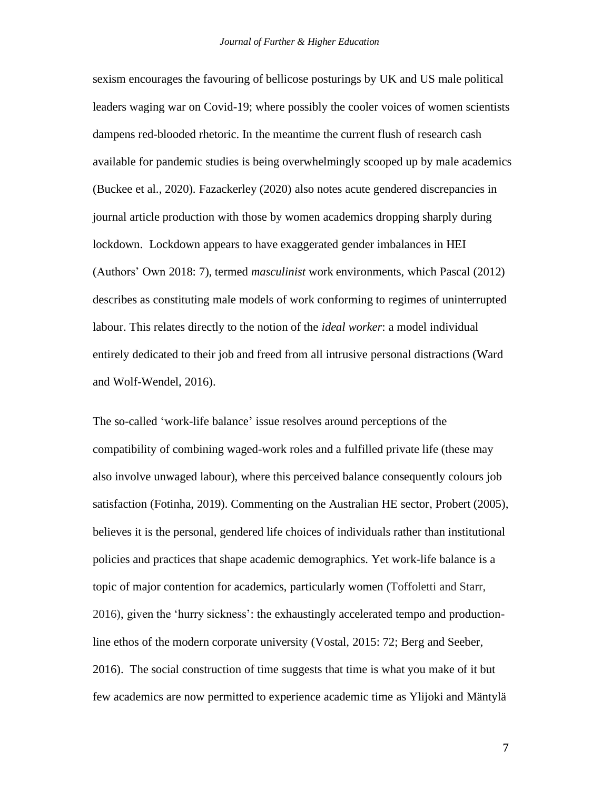sexism encourages the favouring of bellicose posturings by UK and US male political leaders waging war on Covid-19; where possibly the cooler voices of women scientists dampens red-blooded rhetoric. In the meantime the current flush of research cash available for pandemic studies is being overwhelmingly scooped up by male academics (Buckee et al., 2020). Fazackerley (2020) also notes acute gendered discrepancies in journal article production with those by women academics dropping sharply during lockdown. Lockdown appears to have exaggerated gender imbalances in HEI (Authors' Own 2018: 7), termed *masculinist* work environments, which Pascal (2012) describes as constituting male models of work conforming to regimes of uninterrupted labour. This relates directly to the notion of the *ideal worker*: a model individual entirely dedicated to their job and freed from all intrusive personal distractions (Ward and Wolf-Wendel, 2016).

The so-called 'work-life balance' issue resolves around perceptions of the compatibility of combining waged-work roles and a fulfilled private life (these may also involve unwaged labour), where this perceived balance consequently colours job satisfaction (Fotinha, 2019). Commenting on the Australian HE sector, Probert (2005), believes it is the personal, gendered life choices of individuals rather than institutional policies and practices that shape academic demographics. Yet work-life balance is a topic of major contention for academics, particularly women (Toffoletti and Starr, 2016), given the 'hurry sickness': the exhaustingly accelerated tempo and productionline ethos of the modern corporate university (Vostal, 2015: 72; Berg and Seeber, 2016). The social construction of time suggests that time is what you make of it but few academics are now permitted to experience academic time as Ylijoki and Mäntylä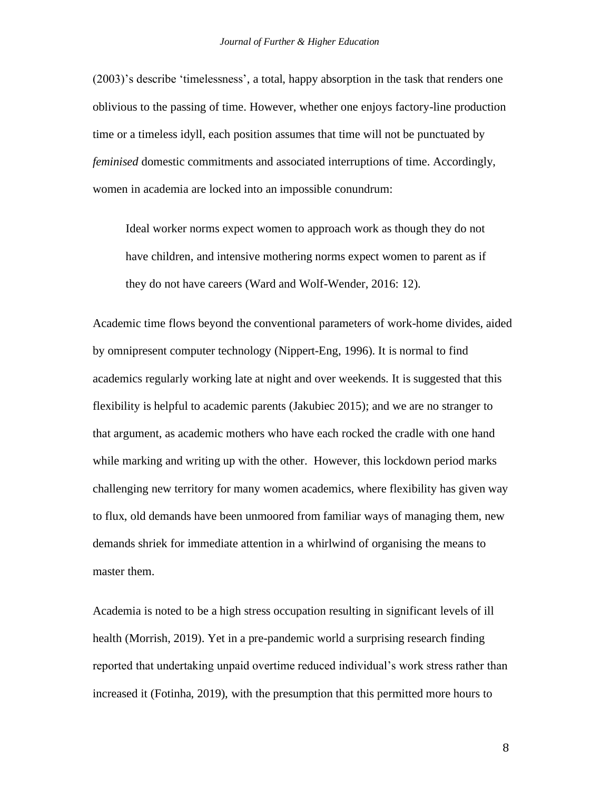(2003)'s describe 'timelessness', a total, happy absorption in the task that renders one oblivious to the passing of time. However, whether one enjoys factory-line production time or a timeless idyll, each position assumes that time will not be punctuated by *feminised* domestic commitments and associated interruptions of time. Accordingly, women in academia are locked into an impossible conundrum:

Ideal worker norms expect women to approach work as though they do not have children, and intensive mothering norms expect women to parent as if they do not have careers (Ward and Wolf-Wender, 2016: 12).

Academic time flows beyond the conventional parameters of work-home divides, aided by omnipresent computer technology (Nippert-Eng, 1996). It is normal to find academics regularly working late at night and over weekends. It is suggested that this flexibility is helpful to academic parents (Jakubiec 2015); and we are no stranger to that argument, as academic mothers who have each rocked the cradle with one hand while marking and writing up with the other. However, this lockdown period marks challenging new territory for many women academics, where flexibility has given way to flux, old demands have been unmoored from familiar ways of managing them, new demands shriek for immediate attention in a whirlwind of organising the means to master them.

Academia is noted to be a high stress occupation resulting in significant levels of ill health (Morrish, 2019). Yet in a pre-pandemic world a surprising research finding reported that undertaking unpaid overtime reduced individual's work stress rather than increased it (Fotinha, 2019), with the presumption that this permitted more hours to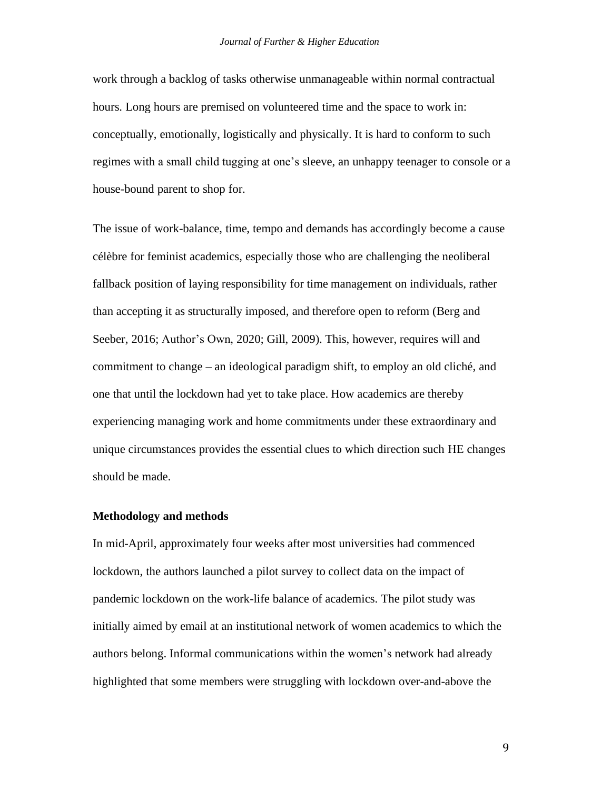work through a backlog of tasks otherwise unmanageable within normal contractual hours. Long hours are premised on volunteered time and the space to work in: conceptually, emotionally, logistically and physically. It is hard to conform to such regimes with a small child tugging at one's sleeve, an unhappy teenager to console or a house-bound parent to shop for.

The issue of work-balance, time, tempo and demands has accordingly become a cause célèbre for feminist academics, especially those who are challenging the neoliberal fallback position of laying responsibility for time management on individuals, rather than accepting it as structurally imposed, and therefore open to reform (Berg and Seeber, 2016; Author's Own, 2020; Gill, 2009). This, however, requires will and commitment to change – an ideological paradigm shift, to employ an old cliché, and one that until the lockdown had yet to take place. How academics are thereby experiencing managing work and home commitments under these extraordinary and unique circumstances provides the essential clues to which direction such HE changes should be made.

#### **Methodology and methods**

In mid-April, approximately four weeks after most universities had commenced lockdown, the authors launched a pilot survey to collect data on the impact of pandemic lockdown on the work-life balance of academics. The pilot study was initially aimed by email at an institutional network of women academics to which the authors belong. Informal communications within the women's network had already highlighted that some members were struggling with lockdown over-and-above the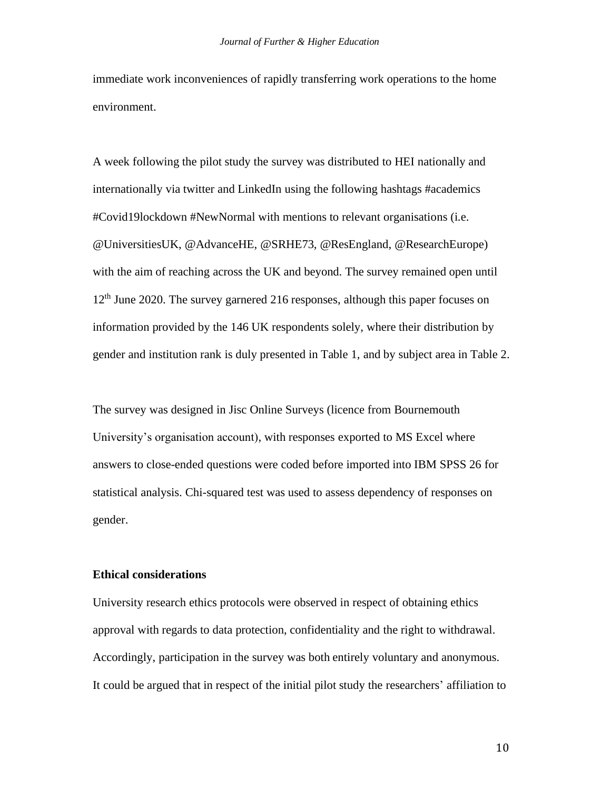immediate work inconveniences of rapidly transferring work operations to the home environment.

A week following the pilot study the survey was distributed to HEI nationally and internationally via twitter and LinkedIn using the following hashtags #academics #Covid19lockdown #NewNormal with mentions to relevant organisations (i.e. @UniversitiesUK, @AdvanceHE, @SRHE73, @ResEngland, @ResearchEurope) with the aim of reaching across the UK and beyond. The survey remained open until  $12<sup>th</sup>$  June 2020. The survey garnered 216 responses, although this paper focuses on information provided by the 146 UK respondents solely, where their distribution by gender and institution rank is duly presented in Table 1, and by subject area in Table 2.

The survey was designed in Jisc Online Surveys (licence from Bournemouth University's organisation account), with responses exported to MS Excel where answers to close-ended questions were coded before imported into IBM SPSS 26 for statistical analysis. Chi-squared test was used to assess dependency of responses on gender.

## **Ethical considerations**

University research ethics protocols were observed in respect of obtaining ethics approval with regards to data protection, confidentiality and the right to withdrawal. Accordingly, participation in the survey was both entirely voluntary and anonymous. It could be argued that in respect of the initial pilot study the researchers' affiliation to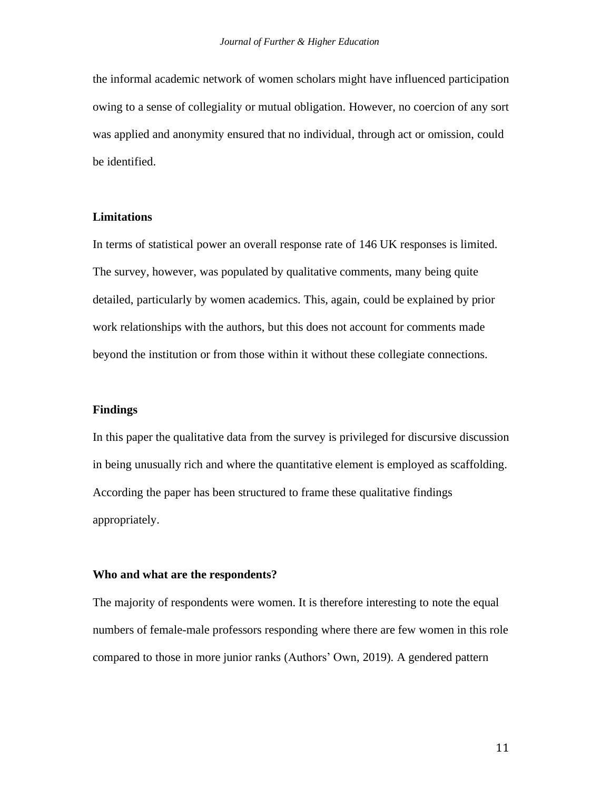the informal academic network of women scholars might have influenced participation owing to a sense of collegiality or mutual obligation. However, no coercion of any sort was applied and anonymity ensured that no individual, through act or omission, could be identified.

#### **Limitations**

In terms of statistical power an overall response rate of 146 UK responses is limited. The survey, however, was populated by qualitative comments, many being quite detailed, particularly by women academics. This, again, could be explained by prior work relationships with the authors, but this does not account for comments made beyond the institution or from those within it without these collegiate connections.

#### **Findings**

In this paper the qualitative data from the survey is privileged for discursive discussion in being unusually rich and where the quantitative element is employed as scaffolding. According the paper has been structured to frame these qualitative findings appropriately.

## **Who and what are the respondents?**

The majority of respondents were women. It is therefore interesting to note the equal numbers of female-male professors responding where there are few women in this role compared to those in more junior ranks (Authors' Own, 2019). A gendered pattern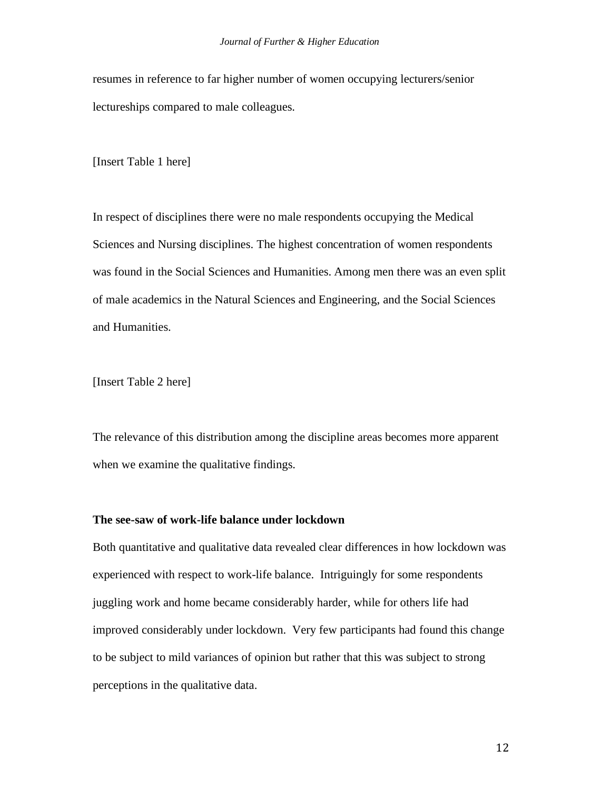resumes in reference to far higher number of women occupying lecturers/senior lectureships compared to male colleagues.

[Insert Table 1 here]

In respect of disciplines there were no male respondents occupying the Medical Sciences and Nursing disciplines. The highest concentration of women respondents was found in the Social Sciences and Humanities. Among men there was an even split of male academics in the Natural Sciences and Engineering, and the Social Sciences and Humanities.

[Insert Table 2 here]

The relevance of this distribution among the discipline areas becomes more apparent when we examine the qualitative findings.

## **The see-saw of work-life balance under lockdown**

Both quantitative and qualitative data revealed clear differences in how lockdown was experienced with respect to work-life balance. Intriguingly for some respondents juggling work and home became considerably harder, while for others life had improved considerably under lockdown. Very few participants had found this change to be subject to mild variances of opinion but rather that this was subject to strong perceptions in the qualitative data.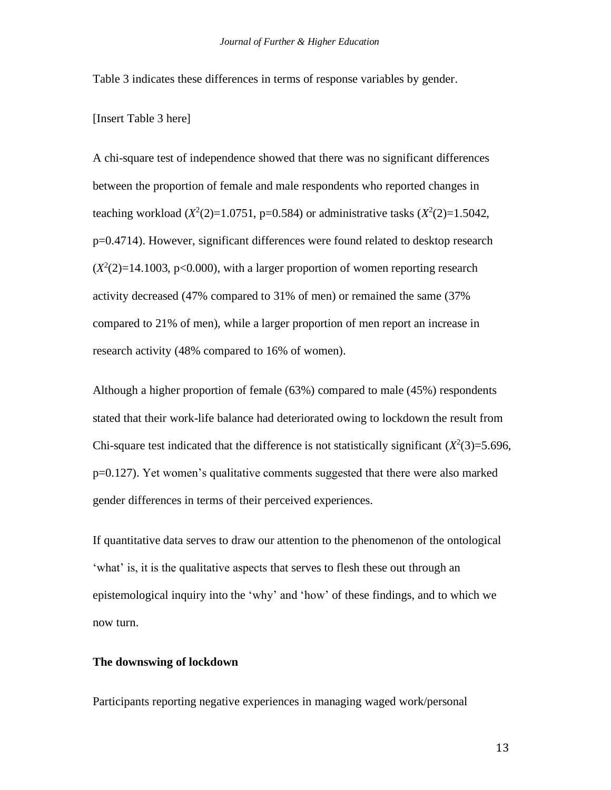Table 3 indicates these differences in terms of response variables by gender.

[Insert Table 3 here]

A chi-square test of independence showed that there was no significant differences between the proportion of female and male respondents who reported changes in teaching workload  $(X^2(2)=1.0751, p=0.584)$  or administrative tasks  $(X^2(2)=1.5042,$ p=0.4714). However, significant differences were found related to desktop research  $(X<sup>2</sup>(2)=14.1003, p<0.000)$ , with a larger proportion of women reporting research activity decreased (47% compared to 31% of men) or remained the same (37% compared to 21% of men), while a larger proportion of men report an increase in research activity (48% compared to 16% of women).

Although a higher proportion of female (63%) compared to male (45%) respondents stated that their work-life balance had deteriorated owing to lockdown the result from Chi-square test indicated that the difference is not statistically significant  $(X^2(3)=5.696,$ p=0.127). Yet women's qualitative comments suggested that there were also marked gender differences in terms of their perceived experiences.

If quantitative data serves to draw our attention to the phenomenon of the ontological 'what' is, it is the qualitative aspects that serves to flesh these out through an epistemological inquiry into the 'why' and 'how' of these findings, and to which we now turn.

## **The downswing of lockdown**

Participants reporting negative experiences in managing waged work/personal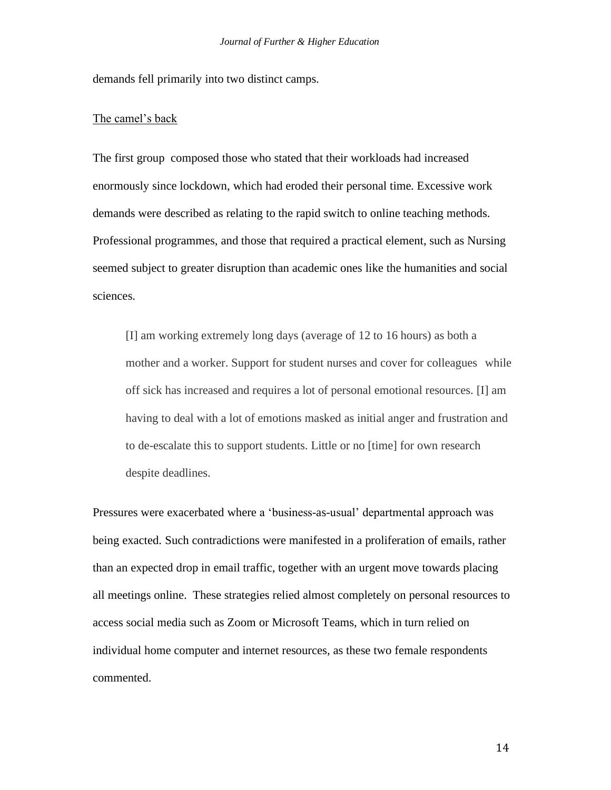demands fell primarily into two distinct camps.

#### The camel's back

The first group composed those who stated that their workloads had increased enormously since lockdown, which had eroded their personal time. Excessive work demands were described as relating to the rapid switch to online teaching methods. Professional programmes, and those that required a practical element, such as Nursing seemed subject to greater disruption than academic ones like the humanities and social sciences.

[I] am working extremely long days (average of 12 to 16 hours) as both a mother and a worker. Support for student nurses and cover for colleagues while off sick has increased and requires a lot of personal emotional resources. [I] am having to deal with a lot of emotions masked as initial anger and frustration and to de-escalate this to support students. Little or no [time] for own research despite deadlines.

Pressures were exacerbated where a 'business-as-usual' departmental approach was being exacted. Such contradictions were manifested in a proliferation of emails, rather than an expected drop in email traffic, together with an urgent move towards placing all meetings online. These strategies relied almost completely on personal resources to access social media such as Zoom or Microsoft Teams, which in turn relied on individual home computer and internet resources, as these two female respondents commented.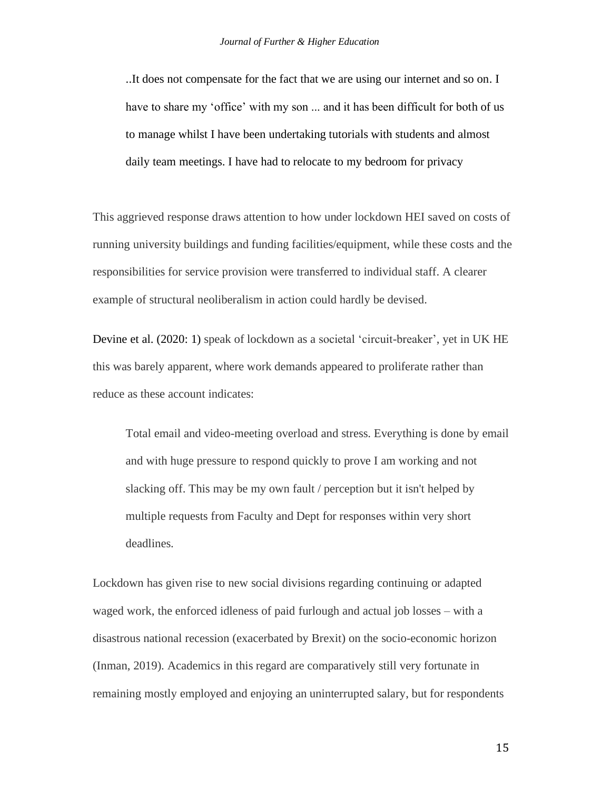..It does not compensate for the fact that we are using our internet and so on. I have to share my 'office' with my son ... and it has been difficult for both of us to manage whilst I have been undertaking tutorials with students and almost daily team meetings. I have had to relocate to my bedroom for privacy

This aggrieved response draws attention to how under lockdown HEI saved on costs of running university buildings and funding facilities/equipment, while these costs and the responsibilities for service provision were transferred to individual staff. A clearer example of structural neoliberalism in action could hardly be devised.

Devine et al. (2020: 1) speak of lockdown as a societal 'circuit-breaker', yet in UK HE this was barely apparent, where work demands appeared to proliferate rather than reduce as these account indicates:

Total email and video-meeting overload and stress. Everything is done by email and with huge pressure to respond quickly to prove I am working and not slacking off. This may be my own fault / perception but it isn't helped by multiple requests from Faculty and Dept for responses within very short deadlines.

Lockdown has given rise to new social divisions regarding continuing or adapted waged work, the enforced idleness of paid furlough and actual job losses – with a disastrous national recession (exacerbated by Brexit) on the socio-economic horizon (Inman, 2019). Academics in this regard are comparatively still very fortunate in remaining mostly employed and enjoying an uninterrupted salary, but for respondents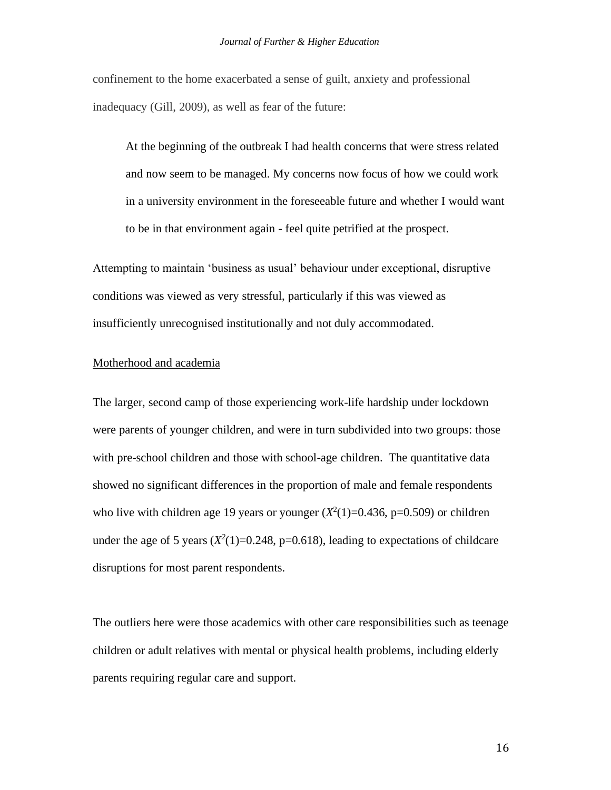confinement to the home exacerbated a sense of guilt, anxiety and professional inadequacy (Gill, 2009), as well as fear of the future:

At the beginning of the outbreak I had health concerns that were stress related and now seem to be managed. My concerns now focus of how we could work in a university environment in the foreseeable future and whether I would want to be in that environment again - feel quite petrified at the prospect.

Attempting to maintain 'business as usual' behaviour under exceptional, disruptive conditions was viewed as very stressful, particularly if this was viewed as insufficiently unrecognised institutionally and not duly accommodated.

## Motherhood and academia

The larger, second camp of those experiencing work-life hardship under lockdown were parents of younger children, and were in turn subdivided into two groups: those with pre-school children and those with school-age children. The quantitative data showed no significant differences in the proportion of male and female respondents who live with children age 19 years or younger  $(X^2(1)=0.436, p=0.509)$  or children under the age of 5 years  $(X^2(1)=0.248, p=0.618)$ , leading to expectations of childcare disruptions for most parent respondents.

The outliers here were those academics with other care responsibilities such as teenage children or adult relatives with mental or physical health problems, including elderly parents requiring regular care and support.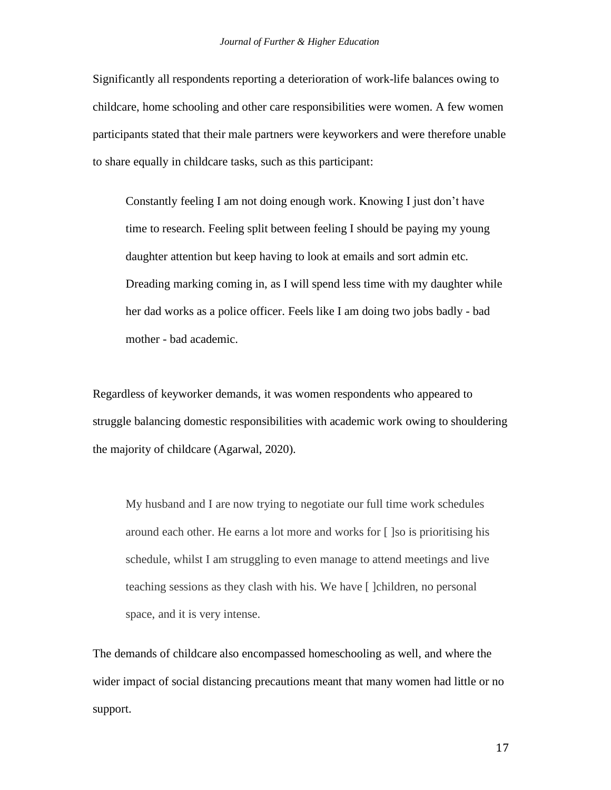Significantly all respondents reporting a deterioration of work-life balances owing to childcare, home schooling and other care responsibilities were women. A few women participants stated that their male partners were keyworkers and were therefore unable to share equally in childcare tasks, such as this participant:

Constantly feeling I am not doing enough work. Knowing I just don't have time to research. Feeling split between feeling I should be paying my young daughter attention but keep having to look at emails and sort admin etc. Dreading marking coming in, as I will spend less time with my daughter while her dad works as a police officer. Feels like I am doing two jobs badly - bad mother - bad academic.

Regardless of keyworker demands, it was women respondents who appeared to struggle balancing domestic responsibilities with academic work owing to shouldering the majority of childcare (Agarwal, 2020).

My husband and I are now trying to negotiate our full time work schedules around each other. He earns a lot more and works for [ ]so is prioritising his schedule, whilst I am struggling to even manage to attend meetings and live teaching sessions as they clash with his. We have [ ]children, no personal space, and it is very intense.

The demands of childcare also encompassed homeschooling as well, and where the wider impact of social distancing precautions meant that many women had little or no support.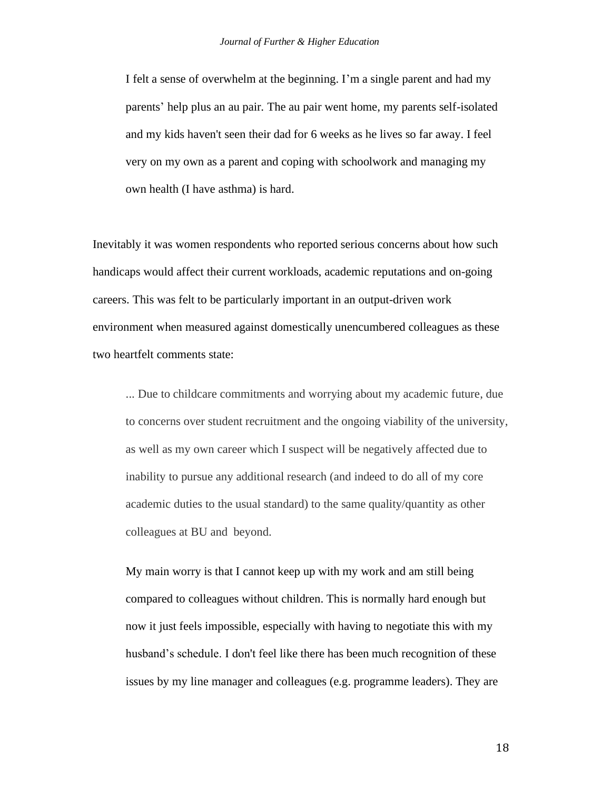I felt a sense of overwhelm at the beginning. I'm a single parent and had my parents' help plus an au pair. The au pair went home, my parents self-isolated and my kids haven't seen their dad for 6 weeks as he lives so far away. I feel very on my own as a parent and coping with schoolwork and managing my own health (I have asthma) is hard.

Inevitably it was women respondents who reported serious concerns about how such handicaps would affect their current workloads, academic reputations and on-going careers. This was felt to be particularly important in an output-driven work environment when measured against domestically unencumbered colleagues as these two heartfelt comments state:

... Due to childcare commitments and worrying about my academic future, due to concerns over student recruitment and the ongoing viability of the university, as well as my own career which I suspect will be negatively affected due to inability to pursue any additional research (and indeed to do all of my core academic duties to the usual standard) to the same quality/quantity as other colleagues at BU and beyond.

My main worry is that I cannot keep up with my work and am still being compared to colleagues without children. This is normally hard enough but now it just feels impossible, especially with having to negotiate this with my husband's schedule. I don't feel like there has been much recognition of these issues by my line manager and colleagues (e.g. programme leaders). They are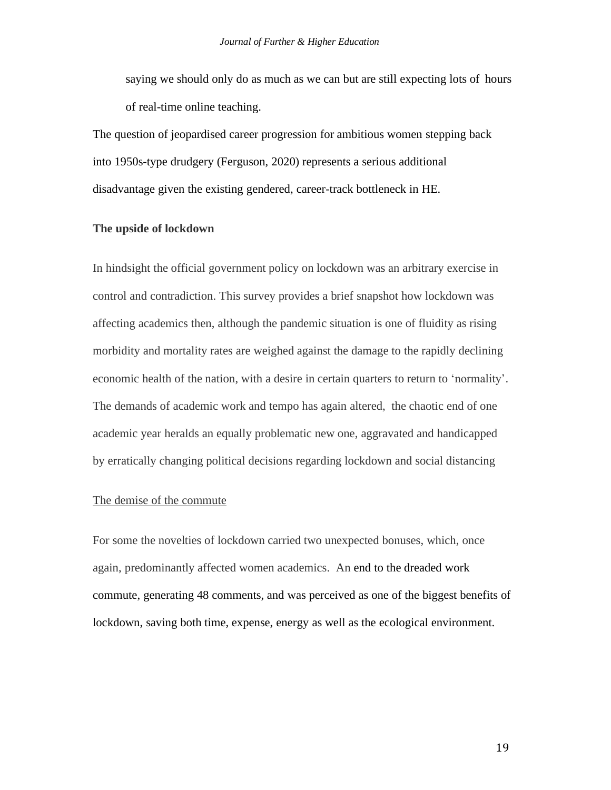saying we should only do as much as we can but are still expecting lots of hours of real-time online teaching.

The question of jeopardised career progression for ambitious women stepping back into 1950s-type drudgery (Ferguson, 2020) represents a serious additional disadvantage given the existing gendered, career-track bottleneck in HE.

#### **The upside of lockdown**

In hindsight the official government policy on lockdown was an arbitrary exercise in control and contradiction. This survey provides a brief snapshot how lockdown was affecting academics then, although the pandemic situation is one of fluidity as rising morbidity and mortality rates are weighed against the damage to the rapidly declining economic health of the nation, with a desire in certain quarters to return to 'normality'. The demands of academic work and tempo has again altered, the chaotic end of one academic year heralds an equally problematic new one, aggravated and handicapped by erratically changing political decisions regarding lockdown and social distancing

## The demise of the commute

For some the novelties of lockdown carried two unexpected bonuses, which, once again, predominantly affected women academics. An end to the dreaded work commute, generating 48 comments, and was perceived as one of the biggest benefits of lockdown, saving both time, expense, energy as well as the ecological environment.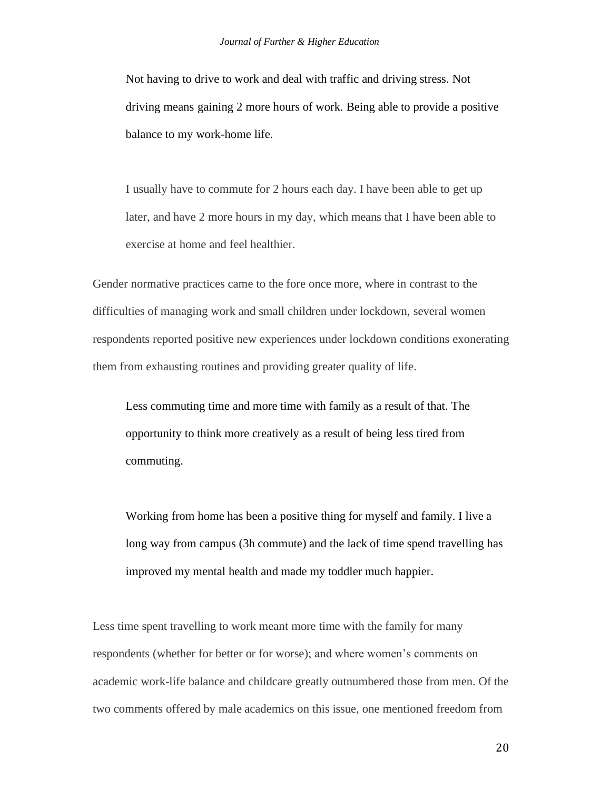Not having to drive to work and deal with traffic and driving stress. Not driving means gaining 2 more hours of work. Being able to provide a positive balance to my work-home life.

I usually have to commute for 2 hours each day. I have been able to get up later, and have 2 more hours in my day, which means that I have been able to exercise at home and feel healthier.

Gender normative practices came to the fore once more, where in contrast to the difficulties of managing work and small children under lockdown, several women respondents reported positive new experiences under lockdown conditions exonerating them from exhausting routines and providing greater quality of life.

Less commuting time and more time with family as a result of that. The opportunity to think more creatively as a result of being less tired from commuting.

Working from home has been a positive thing for myself and family. I live a long way from campus (3h commute) and the lack of time spend travelling has improved my mental health and made my toddler much happier.

Less time spent travelling to work meant more time with the family for many respondents (whether for better or for worse); and where women's comments on academic work-life balance and childcare greatly outnumbered those from men. Of the two comments offered by male academics on this issue, one mentioned freedom from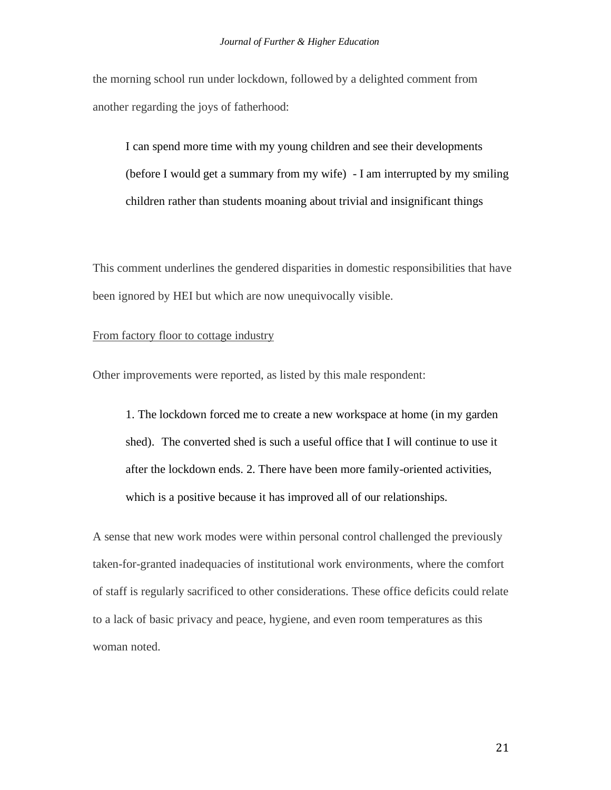the morning school run under lockdown, followed by a delighted comment from another regarding the joys of fatherhood:

I can spend more time with my young children and see their developments (before I would get a summary from my wife) - I am interrupted by my smiling children rather than students moaning about trivial and insignificant things

This comment underlines the gendered disparities in domestic responsibilities that have been ignored by HEI but which are now unequivocally visible.

### From factory floor to cottage industry

Other improvements were reported, as listed by this male respondent:

1. The lockdown forced me to create a new workspace at home (in my garden shed). The converted shed is such a useful office that I will continue to use it after the lockdown ends. 2. There have been more family-oriented activities, which is a positive because it has improved all of our relationships.

A sense that new work modes were within personal control challenged the previously taken-for-granted inadequacies of institutional work environments, where the comfort of staff is regularly sacrificed to other considerations. These office deficits could relate to a lack of basic privacy and peace, hygiene, and even room temperatures as this woman noted.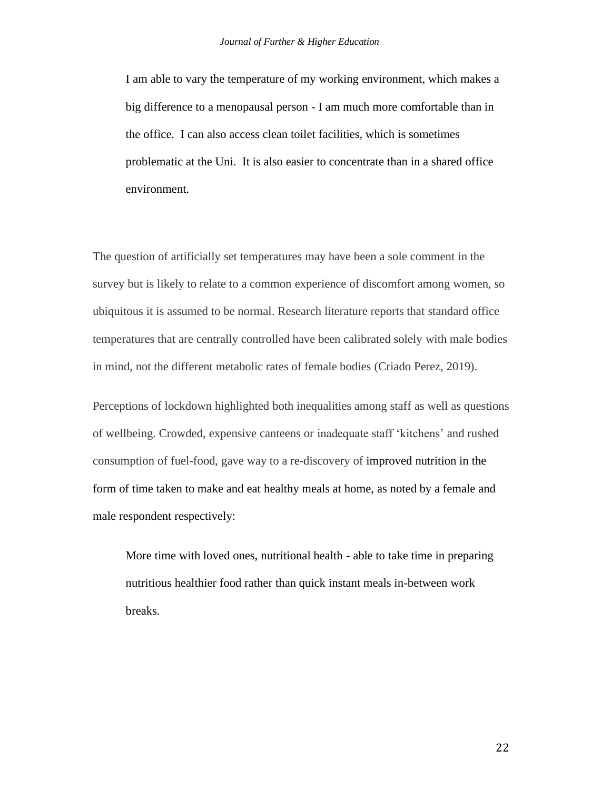I am able to vary the temperature of my working environment, which makes a big difference to a menopausal person - I am much more comfortable than in the office. I can also access clean toilet facilities, which is sometimes problematic at the Uni. It is also easier to concentrate than in a shared office environment.

The question of artificially set temperatures may have been a sole comment in the survey but is likely to relate to a common experience of discomfort among women, so ubiquitous it is assumed to be normal. Research literature reports that standard office temperatures that are centrally controlled have been calibrated solely with male bodies in mind, not the different metabolic rates of female bodies (Criado Perez, 2019).

Perceptions of lockdown highlighted both inequalities among staff as well as questions of wellbeing. Crowded, expensive canteens or inadequate staff 'kitchens' and rushed consumption of fuel-food, gave way to a re-discovery of improved nutrition in the form of time taken to make and eat healthy meals at home, as noted by a female and male respondent respectively:

More time with loved ones, nutritional health - able to take time in preparing nutritious healthier food rather than quick instant meals in-between work breaks.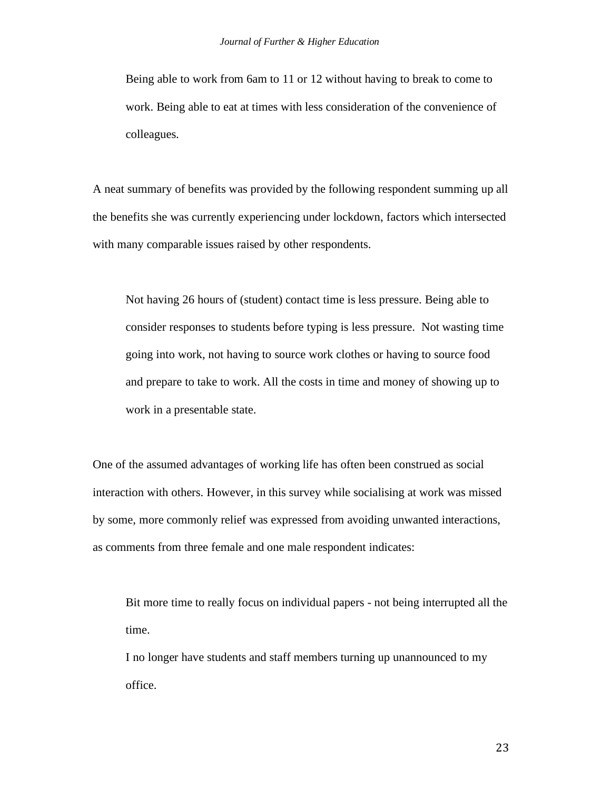Being able to work from 6am to 11 or 12 without having to break to come to work. Being able to eat at times with less consideration of the convenience of colleagues.

A neat summary of benefits was provided by the following respondent summing up all the benefits she was currently experiencing under lockdown, factors which intersected with many comparable issues raised by other respondents.

Not having 26 hours of (student) contact time is less pressure. Being able to consider responses to students before typing is less pressure. Not wasting time going into work, not having to source work clothes or having to source food and prepare to take to work. All the costs in time and money of showing up to work in a presentable state.

One of the assumed advantages of working life has often been construed as social interaction with others. However, in this survey while socialising at work was missed by some, more commonly relief was expressed from avoiding unwanted interactions, as comments from three female and one male respondent indicates:

Bit more time to really focus on individual papers - not being interrupted all the time.

I no longer have students and staff members turning up unannounced to my office.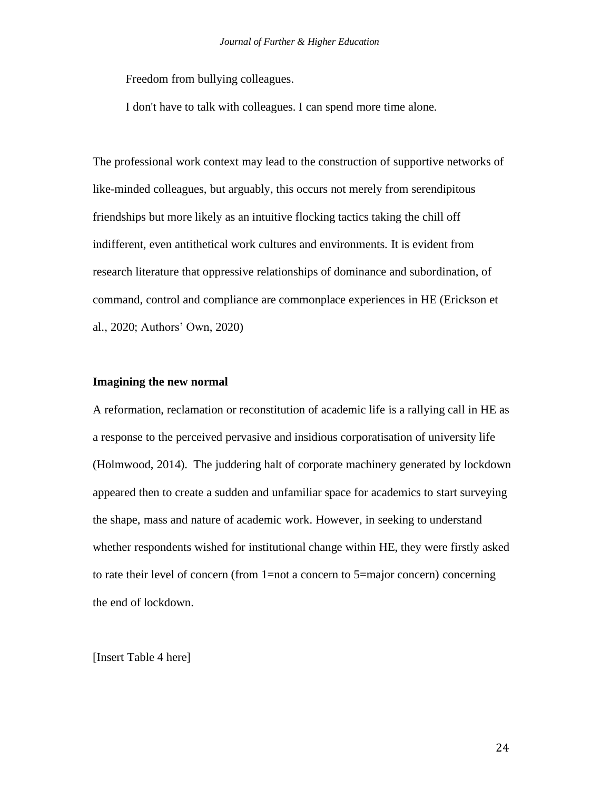Freedom from bullying colleagues.

I don't have to talk with colleagues. I can spend more time alone.

The professional work context may lead to the construction of supportive networks of like-minded colleagues, but arguably, this occurs not merely from serendipitous friendships but more likely as an intuitive flocking tactics taking the chill off indifferent, even antithetical work cultures and environments. It is evident from research literature that oppressive relationships of dominance and subordination, of command, control and compliance are commonplace experiences in HE (Erickson et al., 2020; Authors' Own, 2020)

#### **Imagining the new normal**

A reformation, reclamation or reconstitution of academic life is a rallying call in HE as a response to the perceived pervasive and insidious corporatisation of university life (Holmwood, 2014). The juddering halt of corporate machinery generated by lockdown appeared then to create a sudden and unfamiliar space for academics to start surveying the shape, mass and nature of academic work. However, in seeking to understand whether respondents wished for institutional change within HE, they were firstly asked to rate their level of concern (from 1=not a concern to 5=major concern) concerning the end of lockdown.

[Insert Table 4 here]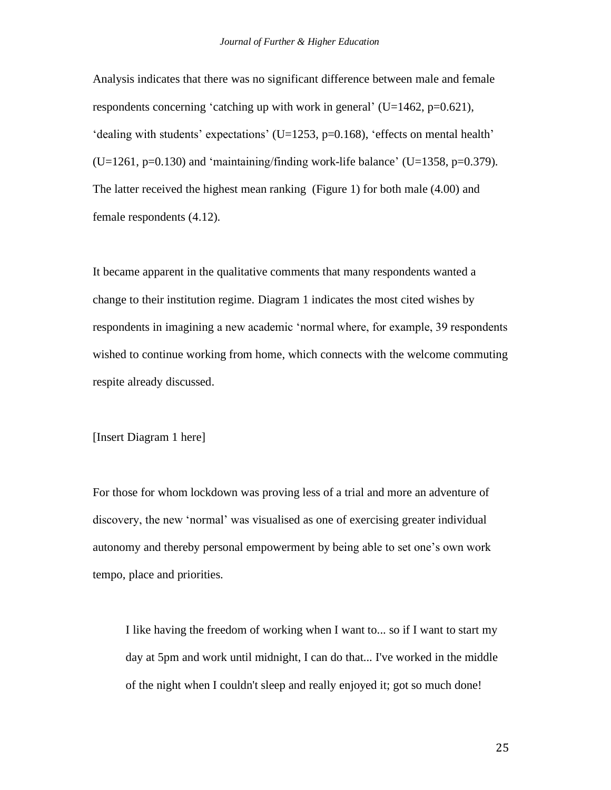Analysis indicates that there was no significant difference between male and female respondents concerning 'catching up with work in general' ( $U=1462$ , p=0.621), 'dealing with students' expectations' (U=1253, p=0.168), 'effects on mental health'  $(U=1261, p=0.130)$  and 'maintaining/finding work-life balance'  $(U=1358, p=0.379)$ . The latter received the highest mean ranking (Figure 1) for both male (4.00) and female respondents (4.12).

It became apparent in the qualitative comments that many respondents wanted a change to their institution regime. Diagram 1 indicates the most cited wishes by respondents in imagining a new academic 'normal where, for example, 39 respondents wished to continue working from home, which connects with the welcome commuting respite already discussed.

## [Insert Diagram 1 here]

For those for whom lockdown was proving less of a trial and more an adventure of discovery, the new 'normal' was visualised as one of exercising greater individual autonomy and thereby personal empowerment by being able to set one's own work tempo, place and priorities.

I like having the freedom of working when I want to... so if I want to start my day at 5pm and work until midnight, I can do that... I've worked in the middle of the night when I couldn't sleep and really enjoyed it; got so much done!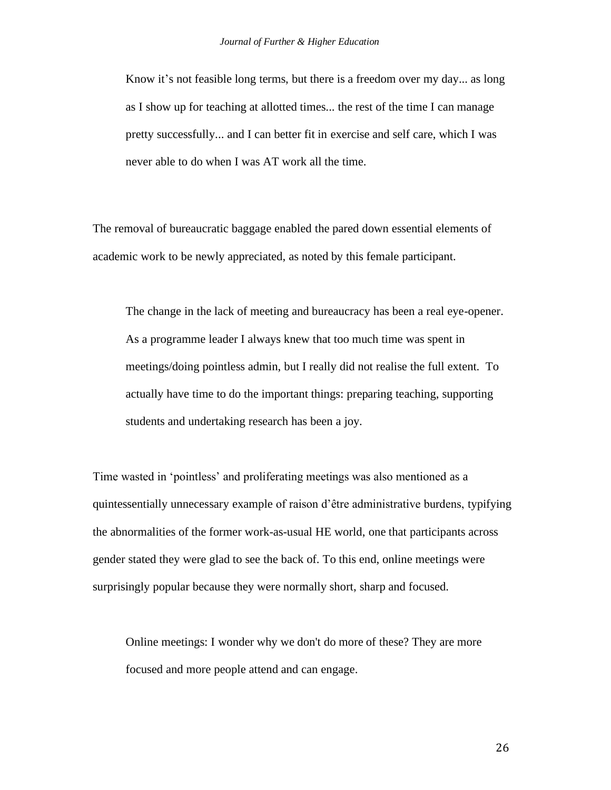Know it's not feasible long terms, but there is a freedom over my day... as long as I show up for teaching at allotted times... the rest of the time I can manage pretty successfully... and I can better fit in exercise and self care, which I was never able to do when I was AT work all the time.

The removal of bureaucratic baggage enabled the pared down essential elements of academic work to be newly appreciated, as noted by this female participant.

The change in the lack of meeting and bureaucracy has been a real eye-opener. As a programme leader I always knew that too much time was spent in meetings/doing pointless admin, but I really did not realise the full extent. To actually have time to do the important things: preparing teaching, supporting students and undertaking research has been a joy.

Time wasted in 'pointless' and proliferating meetings was also mentioned as a quintessentially unnecessary example of raison d'être administrative burdens, typifying the abnormalities of the former work-as-usual HE world, one that participants across gender stated they were glad to see the back of. To this end, online meetings were surprisingly popular because they were normally short, sharp and focused.

Online meetings: I wonder why we don't do more of these? They are more focused and more people attend and can engage.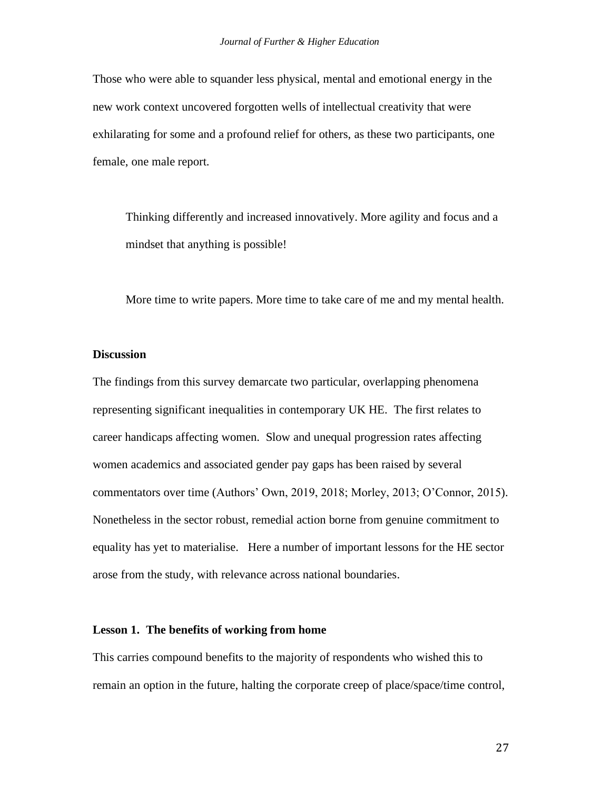Those who were able to squander less physical, mental and emotional energy in the new work context uncovered forgotten wells of intellectual creativity that were exhilarating for some and a profound relief for others, as these two participants, one female, one male report.

Thinking differently and increased innovatively. More agility and focus and a mindset that anything is possible!

More time to write papers. More time to take care of me and my mental health.

#### **Discussion**

The findings from this survey demarcate two particular, overlapping phenomena representing significant inequalities in contemporary UK HE. The first relates to career handicaps affecting women. Slow and unequal progression rates affecting women academics and associated gender pay gaps has been raised by several commentators over time (Authors' Own, 2019, 2018; Morley, 2013; O'Connor, 2015). Nonetheless in the sector robust, remedial action borne from genuine commitment to equality has yet to materialise. Here a number of important lessons for the HE sector arose from the study, with relevance across national boundaries.

#### **Lesson 1. The benefits of working from home**

This carries compound benefits to the majority of respondents who wished this to remain an option in the future, halting the corporate creep of place/space/time control,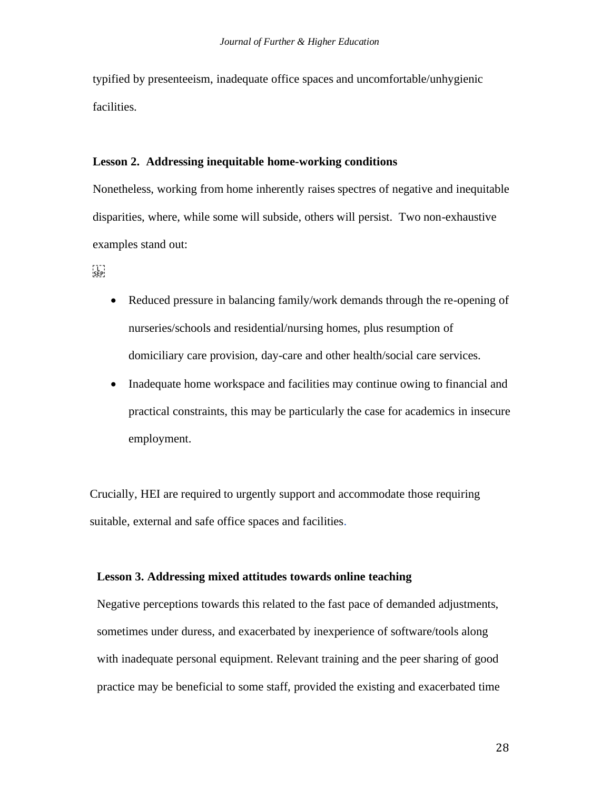typified by presenteeism, inadequate office spaces and uncomfortable/unhygienic facilities.

#### **Lesson 2. Addressing inequitable home-working conditions**

Nonetheless, working from home inherently raises spectres of negative and inequitable disparities, where, while some will subside, others will persist. Two non-exhaustive examples stand out:

י ברו<br>נקבל

- Reduced pressure in balancing family/work demands through the re-opening of nurseries/schools and residential/nursing homes, plus resumption of domiciliary care provision, day-care and other health/social care services.
- Inadequate home workspace and facilities may continue owing to financial and practical constraints, this may be particularly the case for academics in insecure employment.

Crucially, HEI are required to urgently support and accommodate those requiring suitable, external and safe office spaces and facilities.

## **Lesson 3. Addressing mixed attitudes towards online teaching**

Negative perceptions towards this related to the fast pace of demanded adjustments, sometimes under duress, and exacerbated by inexperience of software/tools along with inadequate personal equipment. Relevant training and the peer sharing of good practice may be beneficial to some staff, provided the existing and exacerbated time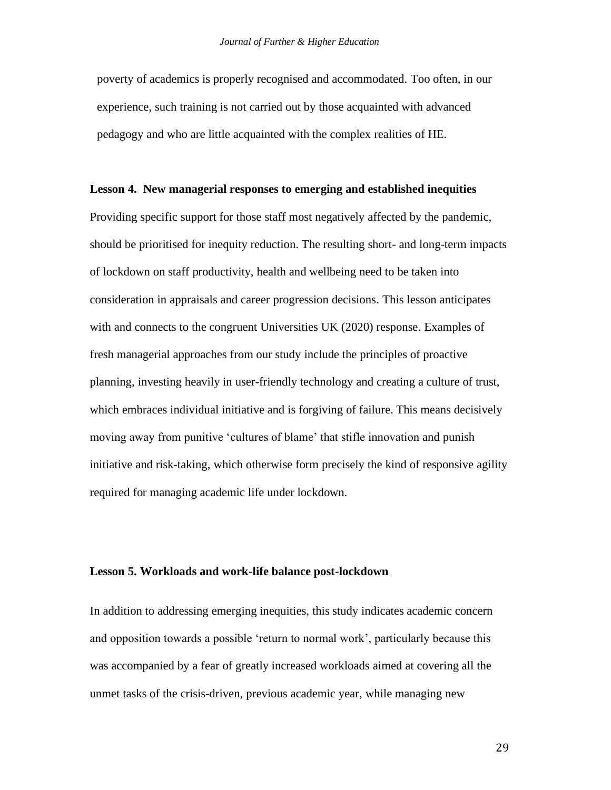poverty of academics is properly recognised and accommodated. Too often, in our experience, such training is not carried out by those acquainted with advanced pedagogy and who are little acquainted with the complex realities of HE.

#### **Lesson 4. New managerial responses to emerging and established inequities**

Providing specific support for those staff most negatively affected by the pandemic, should be prioritised for inequity reduction. The resulting short- and long-term impacts of lockdown on staff productivity, health and wellbeing need to be taken into consideration in appraisals and career progression decisions. This lesson anticipates with and connects to the congruent Universities UK (2020) response. Examples of fresh managerial approaches from our study include the principles of proactive planning, investing heavily in user-friendly technology and creating a culture of trust, which embraces individual initiative and is forgiving of failure. This means decisively moving away from punitive 'cultures of blame' that stifle innovation and punish initiative and risk-taking, which otherwise form precisely the kind of responsive agility required for managing academic life under lockdown.

#### **Lesson 5. Workloads and work-life balance post-lockdown**

In addition to addressing emerging inequities, this study indicates academic concern and opposition towards a possible 'return to normal work', particularly because this was accompanied by a fear of greatly increased workloads aimed at covering all the unmet tasks of the crisis-driven, previous academic year, while managing new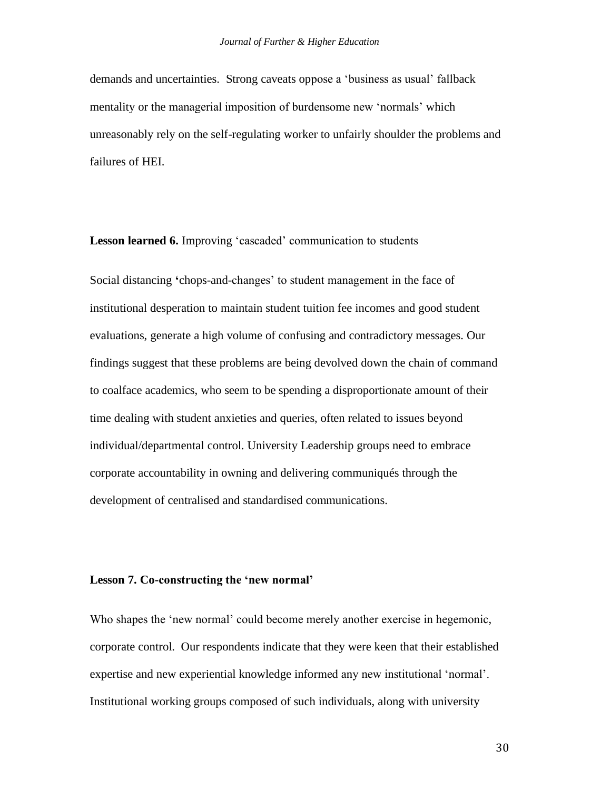demands and uncertainties. Strong caveats oppose a 'business as usual' fallback mentality or the managerial imposition of burdensome new 'normals' which unreasonably rely on the self-regulating worker to unfairly shoulder the problems and failures of HEI.

**Lesson learned 6.** Improving 'cascaded' communication to students

Social distancing **'**chops-and-changes' to student management in the face of institutional desperation to maintain student tuition fee incomes and good student evaluations, generate a high volume of confusing and contradictory messages. Our findings suggest that these problems are being devolved down the chain of command to coalface academics, who seem to be spending a disproportionate amount of their time dealing with student anxieties and queries, often related to issues beyond individual/departmental control. University Leadership groups need to embrace corporate accountability in owning and delivering communiqués through the development of centralised and standardised communications.

#### **Lesson 7. Co-constructing the 'new normal'**

Who shapes the 'new normal' could become merely another exercise in hegemonic, corporate control. Our respondents indicate that they were keen that their established expertise and new experiential knowledge informed any new institutional 'normal'. Institutional working groups composed of such individuals, along with university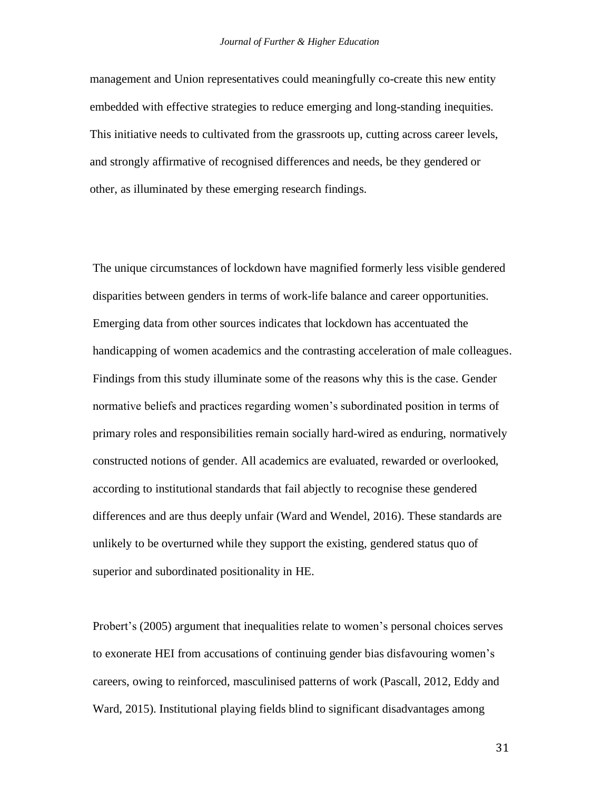management and Union representatives could meaningfully co-create this new entity embedded with effective strategies to reduce emerging and long-standing inequities. This initiative needs to cultivated from the grassroots up, cutting across career levels, and strongly affirmative of recognised differences and needs, be they gendered or other, as illuminated by these emerging research findings.

The unique circumstances of lockdown have magnified formerly less visible gendered disparities between genders in terms of work-life balance and career opportunities. Emerging data from other sources indicates that lockdown has accentuated the handicapping of women academics and the contrasting acceleration of male colleagues. Findings from this study illuminate some of the reasons why this is the case. Gender normative beliefs and practices regarding women's subordinated position in terms of primary roles and responsibilities remain socially hard-wired as enduring, normatively constructed notions of gender. All academics are evaluated, rewarded or overlooked, according to institutional standards that fail abjectly to recognise these gendered differences and are thus deeply unfair (Ward and Wendel, 2016). These standards are unlikely to be overturned while they support the existing, gendered status quo of superior and subordinated positionality in HE.

Probert's (2005) argument that inequalities relate to women's personal choices serves to exonerate HEI from accusations of continuing gender bias disfavouring women's careers, owing to reinforced, masculinised patterns of work (Pascall, 2012, Eddy and Ward, 2015). Institutional playing fields blind to significant disadvantages among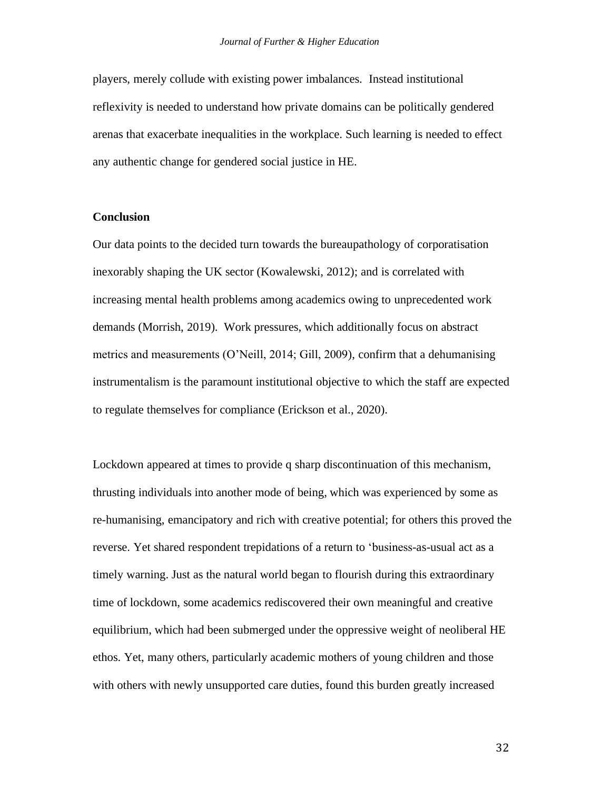players, merely collude with existing power imbalances. Instead institutional reflexivity is needed to understand how private domains can be politically gendered arenas that exacerbate inequalities in the workplace. Such learning is needed to effect any authentic change for gendered social justice in HE.

#### **Conclusion**

Our data points to the decided turn towards the bureaupathology of corporatisation inexorably shaping the UK sector (Kowalewski, 2012); and is correlated with increasing mental health problems among academics owing to unprecedented work demands (Morrish, 2019). Work pressures, which additionally focus on abstract metrics and measurements (O'Neill, 2014; Gill, 2009), confirm that a dehumanising instrumentalism is the paramount institutional objective to which the staff are expected to regulate themselves for compliance (Erickson et al., 2020).

Lockdown appeared at times to provide q sharp discontinuation of this mechanism, thrusting individuals into another mode of being, which was experienced by some as re-humanising, emancipatory and rich with creative potential; for others this proved the reverse. Yet shared respondent trepidations of a return to 'business-as-usual act as a timely warning. Just as the natural world began to flourish during this extraordinary time of lockdown, some academics rediscovered their own meaningful and creative equilibrium, which had been submerged under the oppressive weight of neoliberal HE ethos. Yet, many others, particularly academic mothers of young children and those with others with newly unsupported care duties, found this burden greatly increased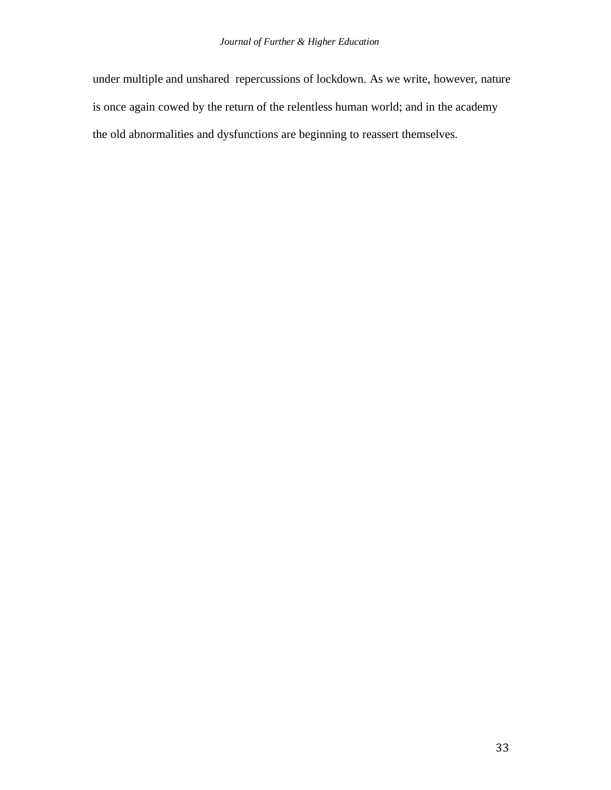under multiple and unshared repercussions of lockdown. As we write, however, nature is once again cowed by the return of the relentless human world; and in the academy the old abnormalities and dysfunctions are beginning to reassert themselves.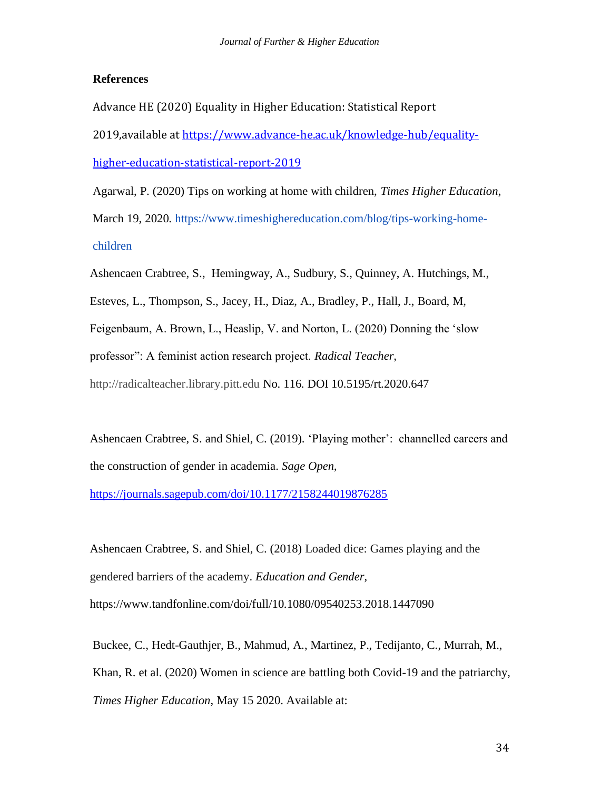#### **References**

Advance HE (2020) Equality in Higher Education: Statistical Report 2019,available at [https://www.advance-he.ac.uk/knowledge-hub/equality](https://eur02.safelinks.protection.outlook.com/?url=https%3A%2F%2Fwww.advance-he.ac.uk%2Fknowledge-hub%2Fequality-higher-education-statistical-report-2019&data=02%7C01%7Cscrabtree%40bournemouth.ac.uk%7Cfa2c82aa9cea4467589d08d861fa7df3%7Cede29655d09742e4bbb5f38d427fbfb8%7C0%7C0%7C637367075767875839&sdata=oP9RTGaJ5MD5ONBAoPBM6ckxwDtZz7P%2B%2FFBKk1QKBH8%3D&reserved=0)[higher-education-statistical-report-2019](https://eur02.safelinks.protection.outlook.com/?url=https%3A%2F%2Fwww.advance-he.ac.uk%2Fknowledge-hub%2Fequality-higher-education-statistical-report-2019&data=02%7C01%7Cscrabtree%40bournemouth.ac.uk%7Cfa2c82aa9cea4467589d08d861fa7df3%7Cede29655d09742e4bbb5f38d427fbfb8%7C0%7C0%7C637367075767875839&sdata=oP9RTGaJ5MD5ONBAoPBM6ckxwDtZz7P%2B%2FFBKk1QKBH8%3D&reserved=0)

Agarwal, P. (2020) Tips on working at home with children, *Times Higher Education*, March 19, 2020. https://www.timeshighereducation.com/blog/tips-working-homechildren

Ashencaen Crabtree, S., Hemingway, A., Sudbury, S., Quinney, A. Hutchings, M.,

Esteves, L., Thompson, S., Jacey, H., Diaz, A., Bradley, P., Hall, J., Board, M,

Feigenbaum, A. Brown, L., Heaslip, V. and Norton, L. (2020) Donning the 'slow

professor": A feminist action research project. *Radical Teacher,* 

http://radicalteacher.library.pitt.edu No. 116. DOI 10.5195/rt.2020.647

Ashencaen Crabtree, S. and Shiel, C. (2019). 'Playing mother': channelled careers and the construction of gender in academia. *Sage Open,* 

<https://journals.sagepub.com/doi/10.1177/2158244019876285>

Ashencaen Crabtree, S. and Shiel, C. (2018) Loaded dice: Games playing and the gendered barriers of the academy. *Education and Gender*, https://www.tandfonline.com/doi/full/10.1080/09540253.2018.1447090

Buckee, C., Hedt-Gauthjer, B., Mahmud, A., Martinez, P., Tedijanto, C., Murrah, M., Khan, R. et al. (2020) Women in science are battling both Covid-19 and the patriarchy, *Times Higher Education*, May 15 2020. Available at: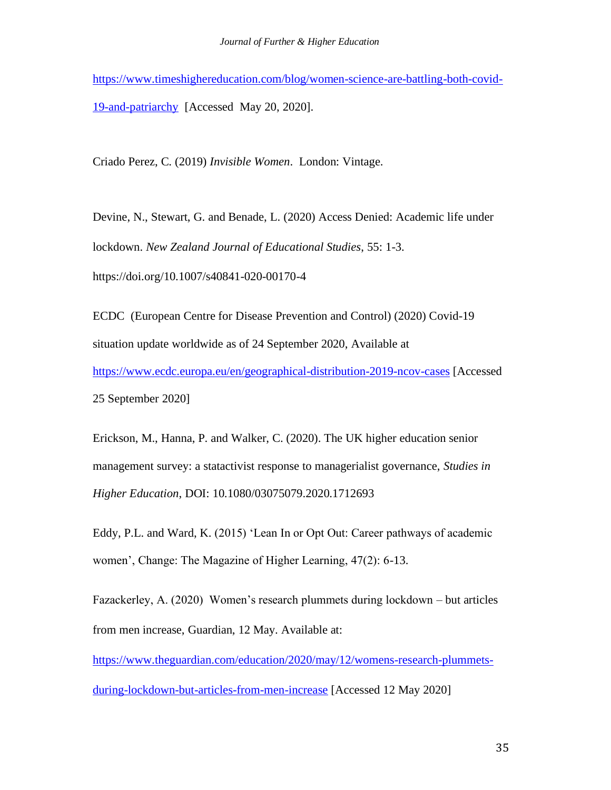[https://www.timeshighereducation.com/blog/women-science-are-battling-both-covid-](https://www.timeshighereducation.com/blog/women-science-are-battling-both-covid-19-and-patriarchy)[19-and-patriarchy](https://www.timeshighereducation.com/blog/women-science-are-battling-both-covid-19-and-patriarchy) [Accessed May 20, 2020].

Criado Perez, C. (2019) *Invisible Women*. London: Vintage.

Devine, N., Stewart, G. and Benade, L. (2020) Access Denied: Academic life under lockdown. *New Zealand Journal of Educational Studies*, 55: 1-3. https://doi.org/10.1007/s40841-020-00170-4

ECDC (European Centre for Disease Prevention and Control) (2020) Covid-19 situation update worldwide as of 24 September 2020, Available at <https://www.ecdc.europa.eu/en/geographical-distribution-2019-ncov-cases> [Accessed 25 September 2020]

Erickson, M., Hanna, P. and Walker, C. (2020). The UK higher education senior management survey: a statactivist response to managerialist governance, *Studies in Higher Education*, DOI: 10.1080/03075079.2020.1712693

Eddy, P.L. and Ward, K. (2015) 'Lean In or Opt Out: Career pathways of academic women', Change: The Magazine of Higher Learning, 47(2): 6-13.

Fazackerley, A. (2020) Women's research plummets during lockdown – but articles from men increase, Guardian, 12 May. Available at:

[https://www.theguardian.com/education/2020/may/12/womens-research-plummets-](https://www.theguardian.com/education/2020/may/12/womens-research-plummets-during-lockdown-but-articles-from-men-increase)

[during-lockdown-but-articles-from-men-increase](https://www.theguardian.com/education/2020/may/12/womens-research-plummets-during-lockdown-but-articles-from-men-increase) [Accessed 12 May 2020]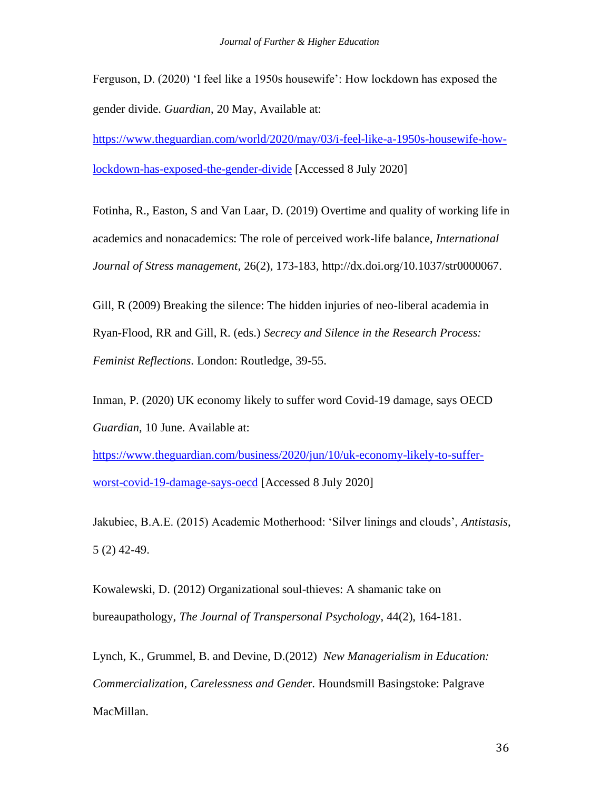Ferguson, D. (2020) 'I feel like a 1950s housewife': How lockdown has exposed the gender divide. *Guardian*, 20 May, Available at:

[https://www.theguardian.com/world/2020/may/03/i-feel-like-a-1950s-housewife-how](https://www.theguardian.com/world/2020/may/03/i-feel-like-a-1950s-housewife-how-lockdown-has-exposed-the-gender-divide)[lockdown-has-exposed-the-gender-divide](https://www.theguardian.com/world/2020/may/03/i-feel-like-a-1950s-housewife-how-lockdown-has-exposed-the-gender-divide) [Accessed 8 July 2020]

Fotinha, R., Easton, S and Van Laar, D. (2019) Overtime and quality of working life in academics and nonacademics: The role of perceived work-life balance, *International Journal of Stress management*, 26(2), 173-183, http://dx.doi.org/10.1037/str0000067.

Gill, R (2009) Breaking the silence: The hidden injuries of neo-liberal academia in Ryan-Flood, RR and Gill, R. (eds.) *Secrecy and Silence in the Research Process: Feminist Reflections*. London: Routledge, 39-55.

Inman, P. (2020) UK economy likely to suffer word Covid-19 damage, says OECD *Guardian*, 10 June. Available at:

[https://www.theguardian.com/business/2020/jun/10/uk-economy-likely-to-suffer](https://www.theguardian.com/business/2020/jun/10/uk-economy-likely-to-suffer-worst-covid-19-damage-says-oecd)[worst-covid-19-damage-says-oecd](https://www.theguardian.com/business/2020/jun/10/uk-economy-likely-to-suffer-worst-covid-19-damage-says-oecd) [Accessed 8 July 2020]

Jakubiec, B.A.E. (2015) Academic Motherhood: 'Silver linings and clouds', *Antistasis*, 5 (2) 42-49.

Kowalewski, D. (2012) Organizational soul-thieves: A shamanic take on bureaupathology, *The Journal of Transpersonal Psychology*, 44(2), 164-181.

Lynch, K., Grummel, B. and Devine, D.(2012) *New Managerialism in Education: Commercialization, Carelessness and Gende*r. Houndsmill Basingstoke: Palgrave MacMillan.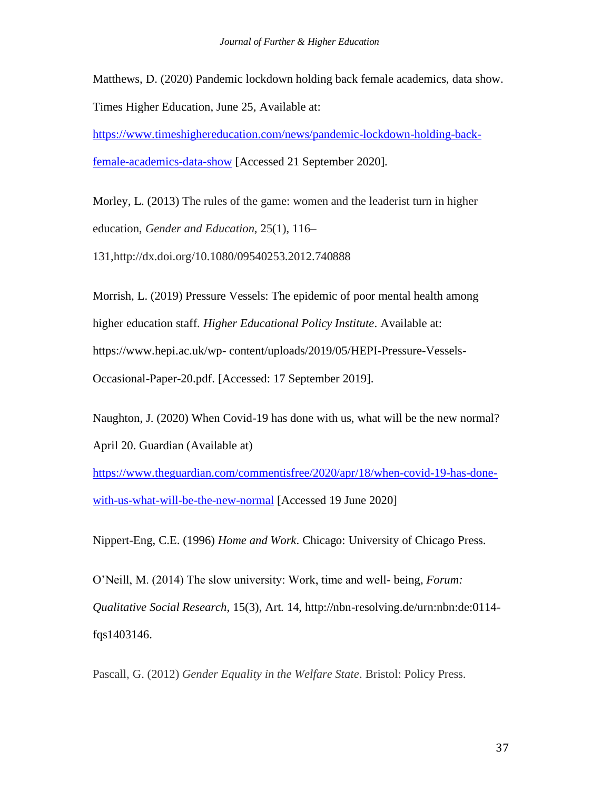Matthews, D. (2020) Pandemic lockdown holding back female academics, data show.

Times Higher Education, June 25, Available at:

[https://www.timeshighereducation.com/news/pandemic-lockdown-holding-back](https://www.timeshighereducation.com/news/pandemic-lockdown-holding-back-female-academics-data-show)[female-academics-data-show](https://www.timeshighereducation.com/news/pandemic-lockdown-holding-back-female-academics-data-show) [Accessed 21 September 2020].

Morley, L. (2013) The rules of the game: women and the leaderist turn in higher education, *Gender and Education*, 25(1), 116–

131,http://dx.doi.org/10.1080/09540253.2012.740888

Morrish, L. (2019) Pressure Vessels: The epidemic of poor mental health among higher education staff. *Higher Educational Policy Institute*. Available at: https://www.hepi.ac.uk/wp- content/uploads/2019/05/HEPI-Pressure-Vessels-Occasional-Paper-20.pdf. [Accessed: 17 September 2019].

Naughton, J. (2020) When Covid-19 has done with us, what will be the new normal? April 20. Guardian (Available at)

[https://www.theguardian.com/commentisfree/2020/apr/18/when-covid-19-has-done](https://www.theguardian.com/commentisfree/2020/apr/18/when-covid-19-has-done-with-us-what-will-be-the-new-normal)[with-us-what-will-be-the-new-normal](https://www.theguardian.com/commentisfree/2020/apr/18/when-covid-19-has-done-with-us-what-will-be-the-new-normal) [Accessed 19 June 2020]

Nippert-Eng, C.E. (1996) *Home and Work*. Chicago: University of Chicago Press.

O'Neill, M. (2014) The slow university: Work, time and well- being, *Forum: Qualitative Social Research*, 15(3), Art. 14, http://nbn-resolving.de/urn:nbn:de:0114 fqs1403146.

Pascall, G. (2012) *Gender Equality in the Welfare State*. Bristol: Policy Press.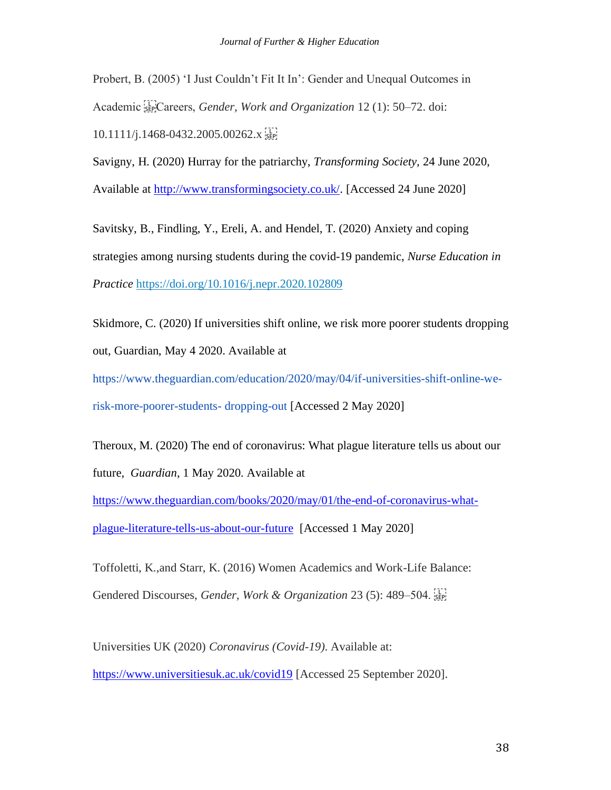Probert, B. (2005) 'I Just Couldn't Fit It In': Gender and Unequal Outcomes in Academic <sup>[11</sup>]Careers, *Gender, Work and Organization* 12 (1): 50–72. doi: 10.1111/j.1468-0432.2005.00262.x 

Savigny, H. (2020) Hurray for the patriarchy, *Transforming Society,* 24 June 2020, Available at [http://www.transformingsociety.co.uk/.](http://www.transformingsociety.co.uk/) [Accessed 24 June 2020]

Savitsky, B., Findling, Y., Ereli, A. and Hendel, T. (2020) Anxiety and coping strategies among nursing students during the covid-19 pandemic, *Nurse Education in Practice* https://doi.org/10.1016/j.nepr.2020.102809

Skidmore, C. (2020) If universities shift online, we risk more poorer students dropping out, Guardian, May 4 2020. Available at

https://www.theguardian.com/education/2020/may/04/if-universities-shift-online-werisk-more-poorer-students- dropping-out [Accessed 2 May 2020]

Theroux, M. (2020) The end of coronavirus: What plague literature tells us about our future, *Guardian*, 1 May 2020. Available at

[https://www.theguardian.com/books/2020/may/01/the-end-of-coronavirus-what](https://www.theguardian.com/books/2020/may/01/the-end-of-coronavirus-what-plague-literature-tells-us-about-our-future)[plague-literature-tells-us-about-our-future](https://www.theguardian.com/books/2020/may/01/the-end-of-coronavirus-what-plague-literature-tells-us-about-our-future) [Accessed 1 May 2020]

Toffoletti, K.,and Starr, K. (2016) Women Academics and Work-Life Balance: Gendered Discourses, *Gender, Work & Organization* 23 (5): 489–504.

Universities UK (2020) *Coronavirus (Covid-19).* Available at: <https://www.universitiesuk.ac.uk/covid19> [Accessed 25 September 2020].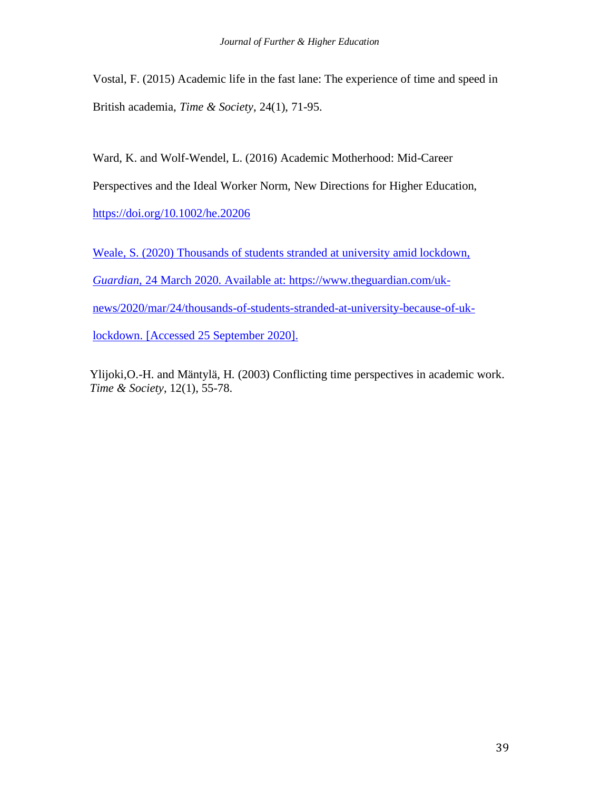Vostal, F. (2015) Academic life in the fast lane: The experience of time and speed in British academia, *Time & Society*, 24(1), 71-95.

Ward, K. and Wolf-Wendel, L. (2016) Academic Motherhood: Mid-Career Perspectives and the Ideal Worker Norm, New Directions for Higher Education, <https://doi.org/10.1002/he.20206>

Weale, S. (2020) Thousands of students stranded at university amid lockdown, *Guardian*, 24 March 2020. Available at: [https://www.theguardian.com/uk](https://www.theguardian.com/uk-news/2020/mar/24/thousands-of-students-stranded-at-university-because-of-uk-lockdown)[news/2020/mar/24/thousands-of-students-stranded-at-university-because-of-uk](https://www.theguardian.com/uk-news/2020/mar/24/thousands-of-students-stranded-at-university-because-of-uk-lockdown)[lockdown.](https://www.theguardian.com/uk-news/2020/mar/24/thousands-of-students-stranded-at-university-because-of-uk-lockdown) [Accessed 25 September 2020].

Ylijoki,O.-H. and Mäntylä, H. (2003) Conflicting time perspectives in academic work. *Time & Society*, 12(1), 55-78.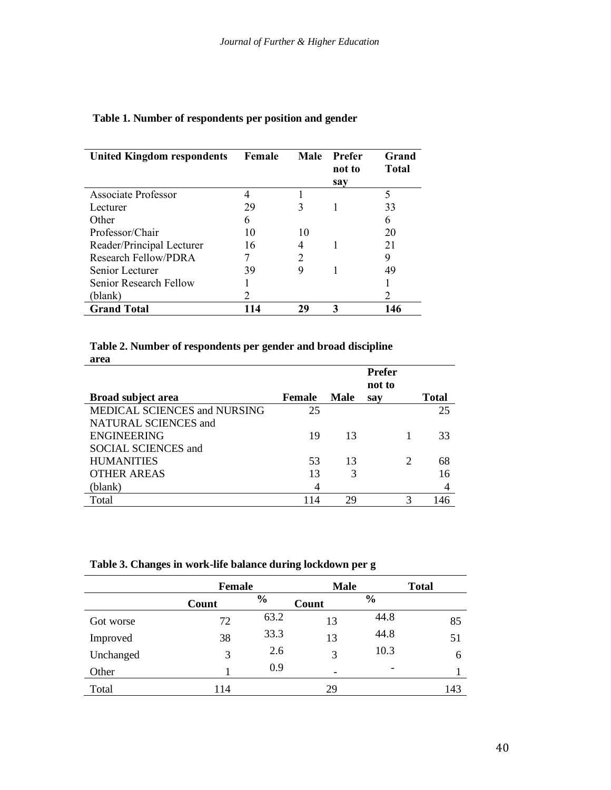| <b>United Kingdom respondents</b> | Female | Male          | Prefer<br>not to | Grand<br><b>Total</b> |
|-----------------------------------|--------|---------------|------------------|-----------------------|
|                                   |        |               | say              |                       |
| <b>Associate Professor</b>        |        |               |                  | 5                     |
| Lecturer                          | 29     | 3             |                  | 33                    |
| Other                             | 6      |               |                  | 6                     |
| Professor/Chair                   | 10     | 10            |                  | 20                    |
| Reader/Principal Lecturer         | 16     |               |                  | 21                    |
| <b>Research Fellow/PDRA</b>       |        | $\mathcal{D}$ |                  | 9                     |
| Senior Lecturer                   | 39     | 9             |                  | 49                    |
| Senior Research Fellow            |        |               |                  |                       |
| (blank)                           |        |               |                  |                       |
| <b>Grand Total</b>                |        | 29            |                  | 146                   |

# **Table 1. Number of respondents per position and gender**

## **Table 2. Number of respondents per gender and broad discipline area**

|                              |        |             | <b>Prefer</b><br>not to |   |              |
|------------------------------|--------|-------------|-------------------------|---|--------------|
| <b>Broad subject area</b>    | Female | <b>Male</b> | say                     |   | <b>Total</b> |
| MEDICAL SCIENCES and NURSING | 25     |             |                         |   | 25           |
| NATURAL SCIENCES and         |        |             |                         |   |              |
| <b>ENGINEERING</b>           | 19     | 13          |                         |   | 33           |
| <b>SOCIAL SCIENCES and</b>   |        |             |                         |   |              |
| <b>HUMANITIES</b>            | 53     | 13          |                         | 2 | 68           |
| <b>OTHER AREAS</b>           | 13     | 3           |                         |   | 16           |
| (blank)                      | 4      |             |                         |   | 4            |
| Total                        | 114    | 29          |                         | 3 | 146          |

|           |       | <b>Female</b> |       | <b>Male</b>   |              |
|-----------|-------|---------------|-------|---------------|--------------|
|           | Count | $\frac{6}{6}$ | Count | $\frac{0}{0}$ | <b>Total</b> |
| Got worse | 72    | 63.2          | 13    | 44.8          | 85           |
| Improved  | 38    | 33.3          | 13    | 44.8          | 51           |
| Unchanged | 3     | 2.6           | 3     | 10.3          | 6            |
| Other     |       | 0.9           |       |               |              |
| Total     | 114   |               | 29    |               | 143          |